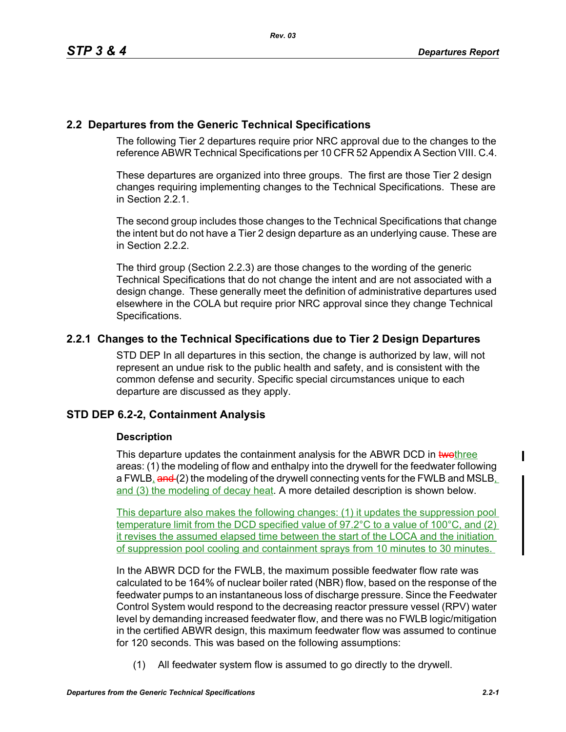# **2.2 Departures from the Generic Technical Specifications**

The following Tier 2 departures require prior NRC approval due to the changes to the reference ABWR Technical Specifications per 10 CFR 52 Appendix A Section VIII. C.4.

These departures are organized into three groups. The first are those Tier 2 design changes requiring implementing changes to the Technical Specifications. These are in Section 2.2.1.

The second group includes those changes to the Technical Specifications that change the intent but do not have a Tier 2 design departure as an underlying cause. These are in Section 2.2.2.

The third group (Section 2.2.3) are those changes to the wording of the generic Technical Specifications that do not change the intent and are not associated with a design change. These generally meet the definition of administrative departures used elsewhere in the COLA but require prior NRC approval since they change Technical Specifications.

# **2.2.1 Changes to the Technical Specifications due to Tier 2 Design Departures**

STD DEP In all departures in this section, the change is authorized by law, will not represent an undue risk to the public health and safety, and is consistent with the common defense and security. Specific special circumstances unique to each departure are discussed as they apply.

# **STD DEP 6.2-2, Containment Analysis**

#### **Description**

This departure updates the containment analysis for the ABWR DCD in two three areas: (1) the modeling of flow and enthalpy into the drywell for the feedwater following a FWLB, and (2) the modeling of the drywell connecting vents for the FWLB and MSLB, and (3) the modeling of decay heat. A more detailed description is shown below.

This departure also makes the following changes: (1) it updates the suppression pool temperature limit from the DCD specified value of 97.2°C to a value of 100°C, and (2) it revises the assumed elapsed time between the start of the LOCA and the initiation of suppression pool cooling and containment sprays from 10 minutes to 30 minutes.

In the ABWR DCD for the FWLB, the maximum possible feedwater flow rate was calculated to be 164% of nuclear boiler rated (NBR) flow, based on the response of the feedwater pumps to an instantaneous loss of discharge pressure. Since the Feedwater Control System would respond to the decreasing reactor pressure vessel (RPV) water level by demanding increased feedwater flow, and there was no FWLB logic/mitigation in the certified ABWR design, this maximum feedwater flow was assumed to continue for 120 seconds. This was based on the following assumptions:

(1) All feedwater system flow is assumed to go directly to the drywell.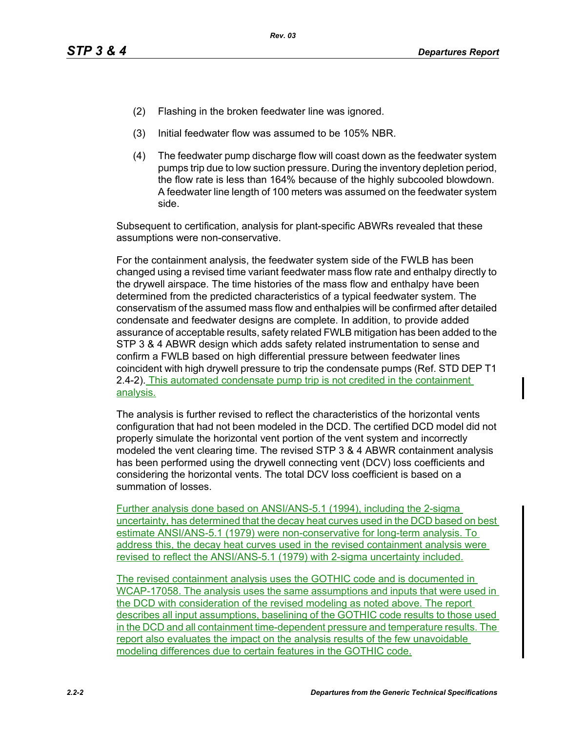- (2) Flashing in the broken feedwater line was ignored.
- (3) Initial feedwater flow was assumed to be 105% NBR.
- (4) The feedwater pump discharge flow will coast down as the feedwater system pumps trip due to low suction pressure. During the inventory depletion period, the flow rate is less than 164% because of the highly subcooled blowdown. A feedwater line length of 100 meters was assumed on the feedwater system side.

Subsequent to certification, analysis for plant-specific ABWRs revealed that these assumptions were non-conservative.

For the containment analysis, the feedwater system side of the FWLB has been changed using a revised time variant feedwater mass flow rate and enthalpy directly to the drywell airspace. The time histories of the mass flow and enthalpy have been determined from the predicted characteristics of a typical feedwater system. The conservatism of the assumed mass flow and enthalpies will be confirmed after detailed condensate and feedwater designs are complete. In addition, to provide added assurance of acceptable results, safety related FWLB mitigation has been added to the STP 3 & 4 ABWR design which adds safety related instrumentation to sense and confirm a FWLB based on high differential pressure between feedwater lines coincident with high drywell pressure to trip the condensate pumps (Ref. STD DEP T1 2.4-2). This automated condensate pump trip is not credited in the containment analysis.

The analysis is further revised to reflect the characteristics of the horizontal vents configuration that had not been modeled in the DCD. The certified DCD model did not properly simulate the horizontal vent portion of the vent system and incorrectly modeled the vent clearing time. The revised STP 3 & 4 ABWR containment analysis has been performed using the drywell connecting vent (DCV) loss coefficients and considering the horizontal vents. The total DCV loss coefficient is based on a summation of losses.

Further analysis done based on ANSI/ANS-5.1 (1994), including the 2-sigma uncertainty, has determined that the decay heat curves used in the DCD based on best estimate ANSI/ANS-5.1 (1979) were non-conservative for long-term analysis. To address this, the decay heat curves used in the revised containment analysis were revised to reflect the ANSI/ANS-5.1 (1979) with 2-sigma uncertainty included.

The revised containment analysis uses the GOTHIC code and is documented in WCAP-17058. The analysis uses the same assumptions and inputs that were used in the DCD with consideration of the revised modeling as noted above. The report describes all input assumptions, baselining of the GOTHIC code results to those used in the DCD and all containment time-dependent pressure and temperature results. The report also evaluates the impact on the analysis results of the few unavoidable modeling differences due to certain features in the GOTHIC code.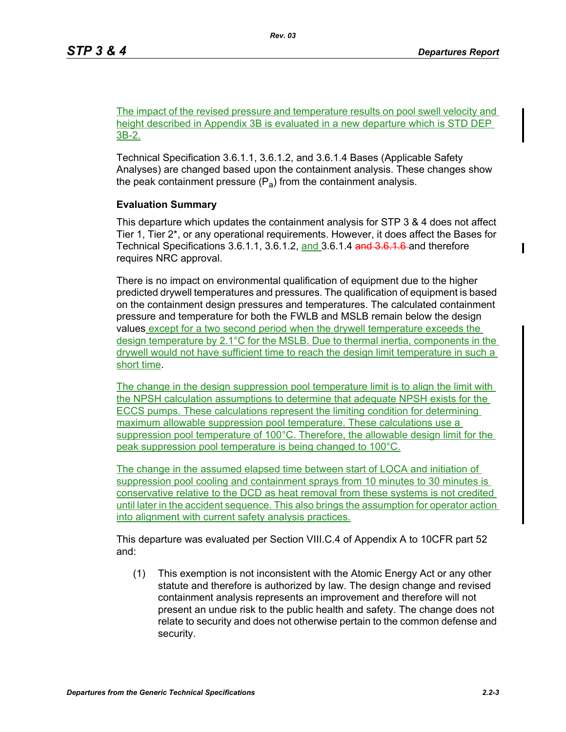The impact of the revised pressure and temperature results on pool swell velocity and height described in Appendix 3B is evaluated in a new departure which is STD DEP 3B-2.

Technical Specification 3.6.1.1, 3.6.1.2, and 3.6.1.4 Bases (Applicable Safety Analyses) are changed based upon the containment analysis. These changes show the peak containment pressure  $(P_a)$  from the containment analysis.

## **Evaluation Summary**

This departure which updates the containment analysis for STP 3 & 4 does not affect Tier 1, Tier 2\*, or any operational requirements. However, it does affect the Bases for Technical Specifications 3.6.1.1, 3.6.1.2, and 3.6.1.4 and 3.6.1.6 and therefore requires NRC approval.

There is no impact on environmental qualification of equipment due to the higher predicted drywell temperatures and pressures. The qualification of equipment is based on the containment design pressures and temperatures. The calculated containment pressure and temperature for both the FWLB and MSLB remain below the design values except for a two second period when the drywell temperature exceeds the design temperature by 2.1°C for the MSLB. Due to thermal inertia, components in the drywell would not have sufficient time to reach the design limit temperature in such a short time.

The change in the design suppression pool temperature limit is to align the limit with the NPSH calculation assumptions to determine that adequate NPSH exists for the ECCS pumps. These calculations represent the limiting condition for determining maximum allowable suppression pool temperature. These calculations use a suppression pool temperature of 100°C. Therefore, the allowable design limit for the peak suppression pool temperature is being changed to 100°C.

The change in the assumed elapsed time between start of LOCA and initiation of suppression pool cooling and containment sprays from 10 minutes to 30 minutes is conservative relative to the DCD as heat removal from these systems is not credited until later in the accident sequence. This also brings the assumption for operator action into alignment with current safety analysis practices.

This departure was evaluated per Section VIII.C.4 of Appendix A to 10CFR part 52 and:

(1) This exemption is not inconsistent with the Atomic Energy Act or any other statute and therefore is authorized by law. The design change and revised containment analysis represents an improvement and therefore will not present an undue risk to the public health and safety. The change does not relate to security and does not otherwise pertain to the common defense and security.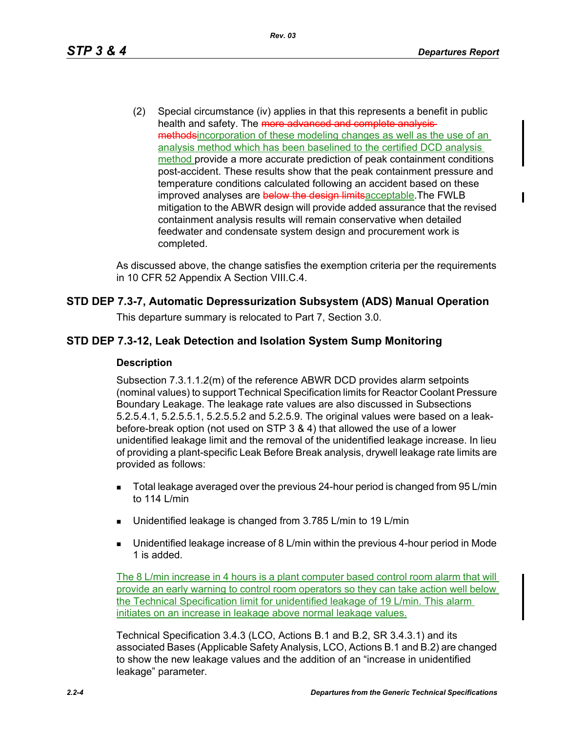(2) Special circumstance (iv) applies in that this represents a benefit in public health and safety. The more advanced and complete analysismethodsincorporation of these modeling changes as well as the use of an analysis method which has been baselined to the certified DCD analysis method provide a more accurate prediction of peak containment conditions post-accident. These results show that the peak containment pressure and temperature conditions calculated following an accident based on these improved analyses are below the design limits acceptable. The FWLB mitigation to the ABWR design will provide added assurance that the revised containment analysis results will remain conservative when detailed feedwater and condensate system design and procurement work is completed.

As discussed above, the change satisfies the exemption criteria per the requirements in 10 CFR 52 Appendix A Section VIII.C.4.

## **STD DEP 7.3-7, Automatic Depressurization Subsystem (ADS) Manual Operation**

This departure summary is relocated to Part 7, Section 3.0.

## **STD DEP 7.3-12, Leak Detection and Isolation System Sump Monitoring**

#### **Description**

Subsection 7.3.1.1.2(m) of the reference ABWR DCD provides alarm setpoints (nominal values) to support Technical Specification limits for Reactor Coolant Pressure Boundary Leakage. The leakage rate values are also discussed in Subsections 5.2.5.4.1, 5.2.5.5.1, 5.2.5.5.2 and 5.2.5.9. The original values were based on a leakbefore-break option (not used on STP 3 & 4) that allowed the use of a lower unidentified leakage limit and the removal of the unidentified leakage increase. In lieu of providing a plant-specific Leak Before Break analysis, drywell leakage rate limits are provided as follows:

- Total leakage averaged over the previous 24-hour period is changed from 95 L/min to 114 L/min
- Unidentified leakage is changed from 3.785 L/min to 19 L/min
- Unidentified leakage increase of 8 L/min within the previous 4-hour period in Mode 1 is added.

The 8 L/min increase in 4 hours is a plant computer based control room alarm that will provide an early warning to control room operators so they can take action well below the Technical Specification limit for unidentified leakage of 19 L/min. This alarm initiates on an increase in leakage above normal leakage values.

Technical Specification 3.4.3 (LCO, Actions B.1 and B.2, SR 3.4.3.1) and its associated Bases (Applicable Safety Analysis, LCO, Actions B.1 and B.2) are changed to show the new leakage values and the addition of an "increase in unidentified leakage" parameter.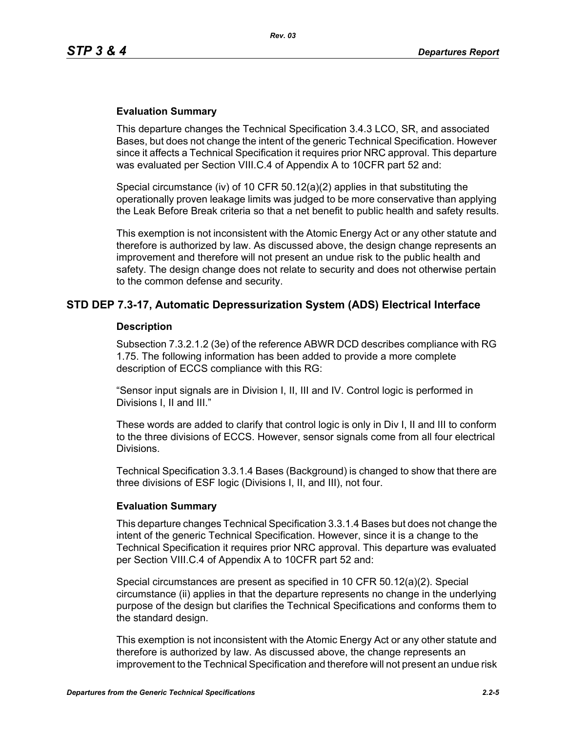#### **Evaluation Summary**

This departure changes the Technical Specification 3.4.3 LCO, SR, and associated Bases, but does not change the intent of the generic Technical Specification. However since it affects a Technical Specification it requires prior NRC approval. This departure was evaluated per Section VIII.C.4 of Appendix A to 10CFR part 52 and:

Special circumstance (iv) of 10 CFR  $50.12(a)(2)$  applies in that substituting the operationally proven leakage limits was judged to be more conservative than applying the Leak Before Break criteria so that a net benefit to public health and safety results.

This exemption is not inconsistent with the Atomic Energy Act or any other statute and therefore is authorized by law. As discussed above, the design change represents an improvement and therefore will not present an undue risk to the public health and safety. The design change does not relate to security and does not otherwise pertain to the common defense and security.

## **STD DEP 7.3-17, Automatic Depressurization System (ADS) Electrical Interface**

#### **Description**

Subsection 7.3.2.1.2 (3e) of the reference ABWR DCD describes compliance with RG 1.75. The following information has been added to provide a more complete description of ECCS compliance with this RG:

"Sensor input signals are in Division I, II, III and IV. Control logic is performed in Divisions I, II and III."

These words are added to clarify that control logic is only in Div I, II and III to conform to the three divisions of ECCS. However, sensor signals come from all four electrical Divisions.

Technical Specification 3.3.1.4 Bases (Background) is changed to show that there are three divisions of ESF logic (Divisions I, II, and III), not four.

#### **Evaluation Summary**

This departure changes Technical Specification 3.3.1.4 Bases but does not change the intent of the generic Technical Specification. However, since it is a change to the Technical Specification it requires prior NRC approval. This departure was evaluated per Section VIII.C.4 of Appendix A to 10CFR part 52 and:

Special circumstances are present as specified in 10 CFR 50.12(a)(2). Special circumstance (ii) applies in that the departure represents no change in the underlying purpose of the design but clarifies the Technical Specifications and conforms them to the standard design.

This exemption is not inconsistent with the Atomic Energy Act or any other statute and therefore is authorized by law. As discussed above, the change represents an improvement to the Technical Specification and therefore will not present an undue risk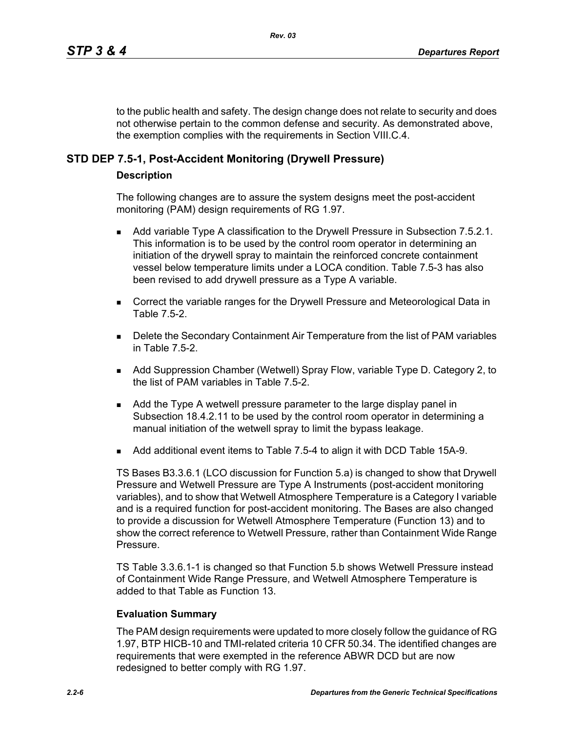to the public health and safety. The design change does not relate to security and does not otherwise pertain to the common defense and security. As demonstrated above, the exemption complies with the requirements in Section VIII.C.4.

## **STD DEP 7.5-1, Post-Accident Monitoring (Drywell Pressure)**

#### **Description**

The following changes are to assure the system designs meet the post-accident monitoring (PAM) design requirements of RG 1.97.

- Add variable Type A classification to the Drywell Pressure in Subsection 7.5.2.1. This information is to be used by the control room operator in determining an initiation of the drywell spray to maintain the reinforced concrete containment vessel below temperature limits under a LOCA condition. Table 7.5-3 has also been revised to add drywell pressure as a Type A variable.
- Correct the variable ranges for the Drywell Pressure and Meteorological Data in Table 7.5-2.
- **Delete the Secondary Containment Air Temperature from the list of PAM variables** in Table 7.5-2.
- Add Suppression Chamber (Wetwell) Spray Flow, variable Type D. Category 2, to the list of PAM variables in Table 7.5-2.
- **Add the Type A wetwell pressure parameter to the large display panel in** Subsection 18.4.2.11 to be used by the control room operator in determining a manual initiation of the wetwell spray to limit the bypass leakage.
- Add additional event items to Table 7.5-4 to align it with DCD Table 15A-9.

TS Bases B3.3.6.1 (LCO discussion for Function 5.a) is changed to show that Drywell Pressure and Wetwell Pressure are Type A Instruments (post-accident monitoring variables), and to show that Wetwell Atmosphere Temperature is a Category I variable and is a required function for post-accident monitoring. The Bases are also changed to provide a discussion for Wetwell Atmosphere Temperature (Function 13) and to show the correct reference to Wetwell Pressure, rather than Containment Wide Range Pressure.

TS Table 3.3.6.1-1 is changed so that Function 5.b shows Wetwell Pressure instead of Containment Wide Range Pressure, and Wetwell Atmosphere Temperature is added to that Table as Function 13.

#### **Evaluation Summary**

The PAM design requirements were updated to more closely follow the guidance of RG 1.97, BTP HICB-10 and TMI-related criteria 10 CFR 50.34. The identified changes are requirements that were exempted in the reference ABWR DCD but are now redesigned to better comply with RG 1.97.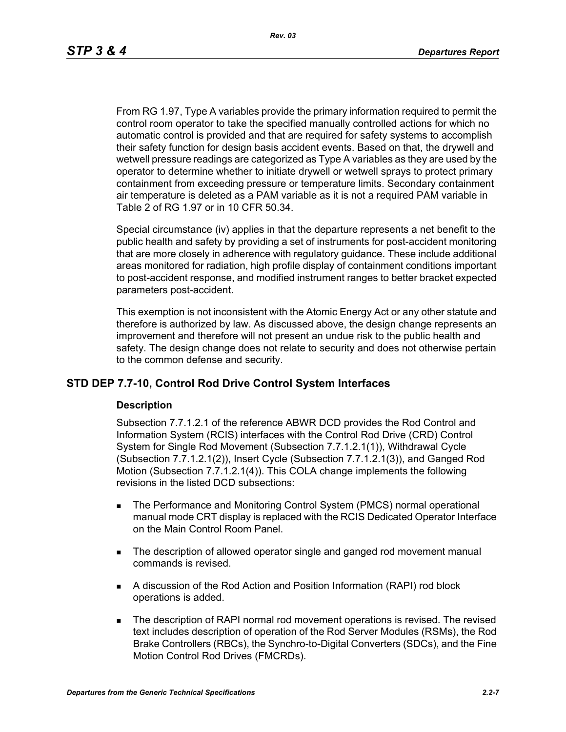From RG 1.97, Type A variables provide the primary information required to permit the control room operator to take the specified manually controlled actions for which no automatic control is provided and that are required for safety systems to accomplish their safety function for design basis accident events. Based on that, the drywell and wetwell pressure readings are categorized as Type A variables as they are used by the operator to determine whether to initiate drywell or wetwell sprays to protect primary containment from exceeding pressure or temperature limits. Secondary containment air temperature is deleted as a PAM variable as it is not a required PAM variable in Table 2 of RG 1.97 or in 10 CFR 50.34.

Special circumstance (iv) applies in that the departure represents a net benefit to the public health and safety by providing a set of instruments for post-accident monitoring that are more closely in adherence with regulatory guidance. These include additional areas monitored for radiation, high profile display of containment conditions important to post-accident response, and modified instrument ranges to better bracket expected parameters post-accident.

This exemption is not inconsistent with the Atomic Energy Act or any other statute and therefore is authorized by law. As discussed above, the design change represents an improvement and therefore will not present an undue risk to the public health and safety. The design change does not relate to security and does not otherwise pertain to the common defense and security.

#### **STD DEP 7.7-10, Control Rod Drive Control System Interfaces**

#### **Description**

Subsection 7.7.1.2.1 of the reference ABWR DCD provides the Rod Control and Information System (RCIS) interfaces with the Control Rod Drive (CRD) Control System for Single Rod Movement (Subsection 7.7.1.2.1(1)), Withdrawal Cycle (Subsection 7.7.1.2.1(2)), Insert Cycle (Subsection 7.7.1.2.1(3)), and Ganged Rod Motion (Subsection 7.7.1.2.1(4)). This COLA change implements the following revisions in the listed DCD subsections:

- **The Performance and Monitoring Control System (PMCS) normal operational** manual mode CRT display is replaced with the RCIS Dedicated Operator Interface on the Main Control Room Panel.
- The description of allowed operator single and ganged rod movement manual commands is revised.
- A discussion of the Rod Action and Position Information (RAPI) rod block operations is added.
- **The description of RAPI normal rod movement operations is revised. The revised** text includes description of operation of the Rod Server Modules (RSMs), the Rod Brake Controllers (RBCs), the Synchro-to-Digital Converters (SDCs), and the Fine Motion Control Rod Drives (FMCRDs).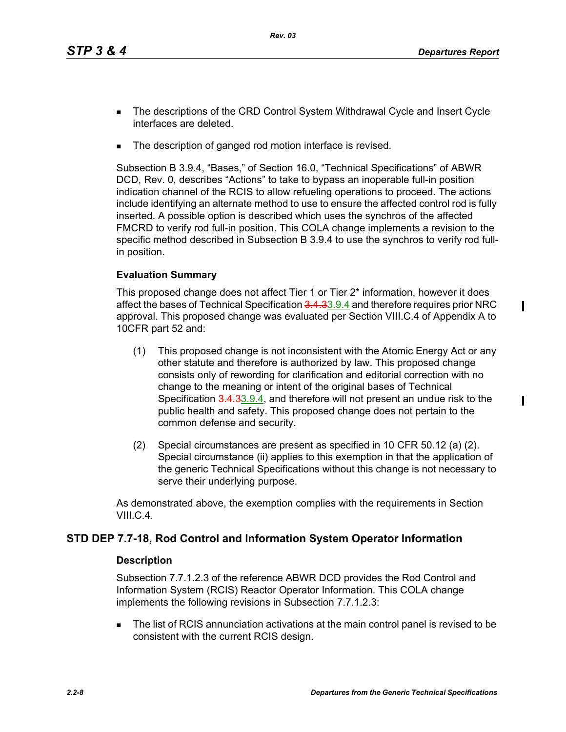$\mathbf I$ 

 $\blacksquare$ 

- **The descriptions of the CRD Control System Withdrawal Cycle and Insert Cycle** interfaces are deleted.
- The description of ganged rod motion interface is revised.

Subsection B 3.9.4, "Bases," of Section 16.0, "Technical Specifications" of ABWR DCD, Rev. 0, describes "Actions" to take to bypass an inoperable full-in position indication channel of the RCIS to allow refueling operations to proceed. The actions include identifying an alternate method to use to ensure the affected control rod is fully inserted. A possible option is described which uses the synchros of the affected FMCRD to verify rod full-in position. This COLA change implements a revision to the specific method described in Subsection B 3.9.4 to use the synchros to verify rod fullin position.

## **Evaluation Summary**

This proposed change does not affect Tier 1 or Tier 2\* information, however it does affect the bases of Technical Specification 3.4.33.9.4 and therefore requires prior NRC approval. This proposed change was evaluated per Section VIII.C.4 of Appendix A to 10CFR part 52 and:

- (1) This proposed change is not inconsistent with the Atomic Energy Act or any other statute and therefore is authorized by law. This proposed change consists only of rewording for clarification and editorial correction with no change to the meaning or intent of the original bases of Technical Specification 3.4.33.9.4, and therefore will not present an undue risk to the public health and safety. This proposed change does not pertain to the common defense and security.
- (2) Special circumstances are present as specified in 10 CFR 50.12 (a) (2). Special circumstance (ii) applies to this exemption in that the application of the generic Technical Specifications without this change is not necessary to serve their underlying purpose.

As demonstrated above, the exemption complies with the requirements in Section VIII.C.4.

## **STD DEP 7.7-18, Rod Control and Information System Operator Information**

#### **Description**

Subsection 7.7.1.2.3 of the reference ABWR DCD provides the Rod Control and Information System (RCIS) Reactor Operator Information. This COLA change implements the following revisions in Subsection 7.7.1.2.3:

 The list of RCIS annunciation activations at the main control panel is revised to be consistent with the current RCIS design.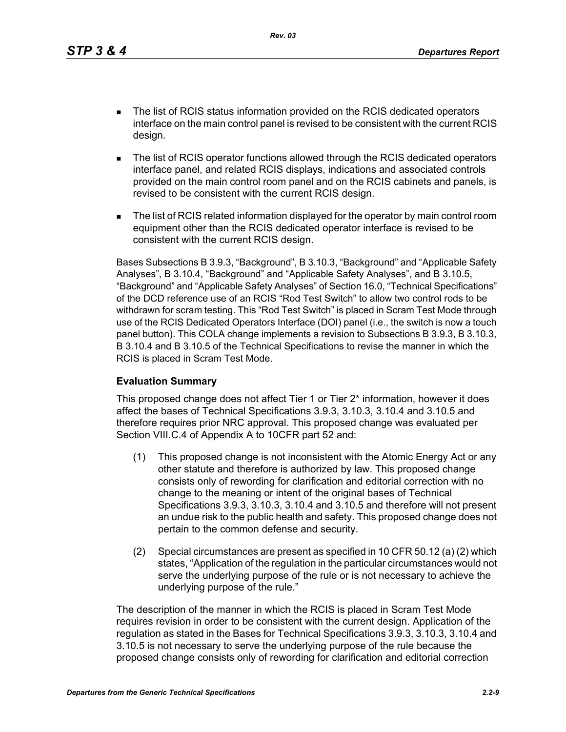*Rev. 03*

- The list of RCIS status information provided on the RCIS dedicated operators interface on the main control panel is revised to be consistent with the current RCIS design.
- The list of RCIS operator functions allowed through the RCIS dedicated operators interface panel, and related RCIS displays, indications and associated controls provided on the main control room panel and on the RCIS cabinets and panels, is revised to be consistent with the current RCIS design.
- **The list of RCIS related information displayed for the operator by main control room** equipment other than the RCIS dedicated operator interface is revised to be consistent with the current RCIS design.

Bases Subsections B 3.9.3, "Background", B 3.10.3, "Background" and "Applicable Safety Analyses", B 3.10.4, "Background" and "Applicable Safety Analyses", and B 3.10.5, "Background" and "Applicable Safety Analyses" of Section 16.0, "Technical Specifications" of the DCD reference use of an RCIS "Rod Test Switch" to allow two control rods to be withdrawn for scram testing. This "Rod Test Switch" is placed in Scram Test Mode through use of the RCIS Dedicated Operators Interface (DOI) panel (i.e., the switch is now a touch panel button). This COLA change implements a revision to Subsections B 3.9.3, B 3.10.3, B 3.10.4 and B 3.10.5 of the Technical Specifications to revise the manner in which the RCIS is placed in Scram Test Mode.

#### **Evaluation Summary**

This proposed change does not affect Tier 1 or Tier 2\* information, however it does affect the bases of Technical Specifications 3.9.3, 3.10.3, 3.10.4 and 3.10.5 and therefore requires prior NRC approval. This proposed change was evaluated per Section VIII.C.4 of Appendix A to 10CFR part 52 and:

- (1) This proposed change is not inconsistent with the Atomic Energy Act or any other statute and therefore is authorized by law. This proposed change consists only of rewording for clarification and editorial correction with no change to the meaning or intent of the original bases of Technical Specifications 3.9.3, 3.10.3, 3.10.4 and 3.10.5 and therefore will not present an undue risk to the public health and safety. This proposed change does not pertain to the common defense and security.
- (2) Special circumstances are present as specified in 10 CFR 50.12 (a) (2) which states, "Application of the regulation in the particular circumstances would not serve the underlying purpose of the rule or is not necessary to achieve the underlying purpose of the rule."

The description of the manner in which the RCIS is placed in Scram Test Mode requires revision in order to be consistent with the current design. Application of the regulation as stated in the Bases for Technical Specifications 3.9.3, 3.10.3, 3.10.4 and 3.10.5 is not necessary to serve the underlying purpose of the rule because the proposed change consists only of rewording for clarification and editorial correction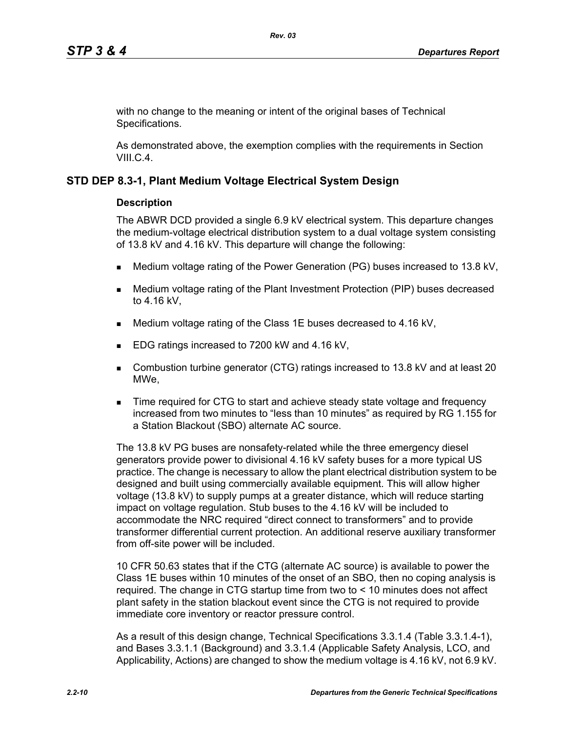with no change to the meaning or intent of the original bases of Technical Specifications.

As demonstrated above, the exemption complies with the requirements in Section VIII.C.4.

#### **STD DEP 8.3-1, Plant Medium Voltage Electrical System Design**

#### **Description**

The ABWR DCD provided a single 6.9 kV electrical system. This departure changes the medium-voltage electrical distribution system to a dual voltage system consisting of 13.8 kV and 4.16 kV. This departure will change the following:

- Medium voltage rating of the Power Generation (PG) buses increased to 13.8 kV,
- Medium voltage rating of the Plant Investment Protection (PIP) buses decreased to 4.16 kV,
- Medium voltage rating of the Class 1E buses decreased to 4.16 kV,
- EDG ratings increased to 7200 kW and 4.16 kV,
- Combustion turbine generator (CTG) ratings increased to 13.8 kV and at least 20 MWe,
- **Time required for CTG to start and achieve steady state voltage and frequency** increased from two minutes to "less than 10 minutes" as required by RG 1.155 for a Station Blackout (SBO) alternate AC source.

The 13.8 kV PG buses are nonsafety-related while the three emergency diesel generators provide power to divisional 4.16 kV safety buses for a more typical US practice. The change is necessary to allow the plant electrical distribution system to be designed and built using commercially available equipment. This will allow higher voltage (13.8 kV) to supply pumps at a greater distance, which will reduce starting impact on voltage regulation. Stub buses to the 4.16 kV will be included to accommodate the NRC required "direct connect to transformers" and to provide transformer differential current protection. An additional reserve auxiliary transformer from off-site power will be included.

10 CFR 50.63 states that if the CTG (alternate AC source) is available to power the Class 1E buses within 10 minutes of the onset of an SBO, then no coping analysis is required. The change in CTG startup time from two to < 10 minutes does not affect plant safety in the station blackout event since the CTG is not required to provide immediate core inventory or reactor pressure control.

As a result of this design change, Technical Specifications 3.3.1.4 (Table 3.3.1.4-1), and Bases 3.3.1.1 (Background) and 3.3.1.4 (Applicable Safety Analysis, LCO, and Applicability, Actions) are changed to show the medium voltage is 4.16 kV, not 6.9 kV.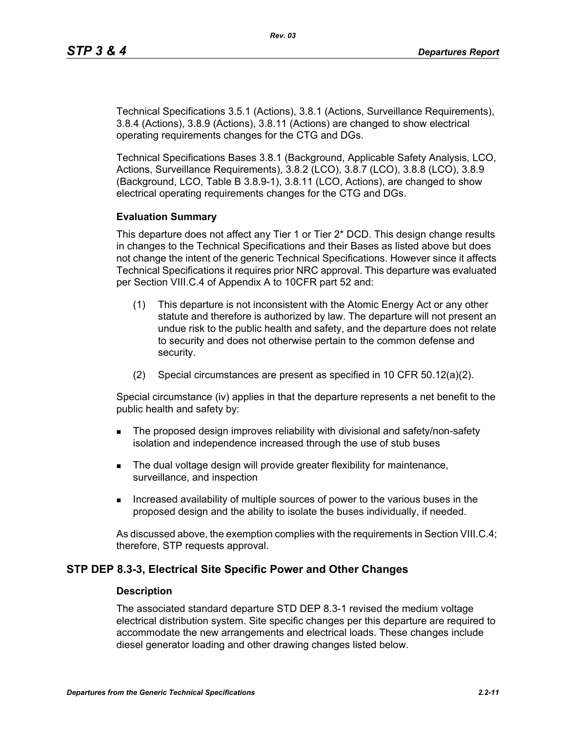Technical Specifications 3.5.1 (Actions), 3.8.1 (Actions, Surveillance Requirements), 3.8.4 (Actions), 3.8.9 (Actions), 3.8.11 (Actions) are changed to show electrical operating requirements changes for the CTG and DGs.

Technical Specifications Bases 3.8.1 (Background, Applicable Safety Analysis, LCO, Actions, Surveillance Requirements), 3.8.2 (LCO), 3.8.7 (LCO), 3.8.8 (LCO), 3.8.9 (Background, LCO, Table B 3.8.9-1), 3.8.11 (LCO, Actions), are changed to show electrical operating requirements changes for the CTG and DGs.

#### **Evaluation Summary**

This departure does not affect any Tier 1 or Tier 2\* DCD. This design change results in changes to the Technical Specifications and their Bases as listed above but does not change the intent of the generic Technical Specifications. However since it affects Technical Specifications it requires prior NRC approval. This departure was evaluated per Section VIII.C.4 of Appendix A to 10CFR part 52 and:

- (1) This departure is not inconsistent with the Atomic Energy Act or any other statute and therefore is authorized by law. The departure will not present an undue risk to the public health and safety, and the departure does not relate to security and does not otherwise pertain to the common defense and security.
- (2) Special circumstances are present as specified in 10 CFR 50.12(a)(2).

Special circumstance (iv) applies in that the departure represents a net benefit to the public health and safety by:

- **The proposed design improves reliability with divisional and safety/non-safety** isolation and independence increased through the use of stub buses
- The dual voltage design will provide greater flexibility for maintenance, surveillance, and inspection
- Increased availability of multiple sources of power to the various buses in the proposed design and the ability to isolate the buses individually, if needed.

As discussed above, the exemption complies with the requirements in Section VIII.C.4; therefore, STP requests approval.

#### **STP DEP 8.3-3, Electrical Site Specific Power and Other Changes**

#### **Description**

The associated standard departure STD DEP 8.3-1 revised the medium voltage electrical distribution system. Site specific changes per this departure are required to accommodate the new arrangements and electrical loads. These changes include diesel generator loading and other drawing changes listed below.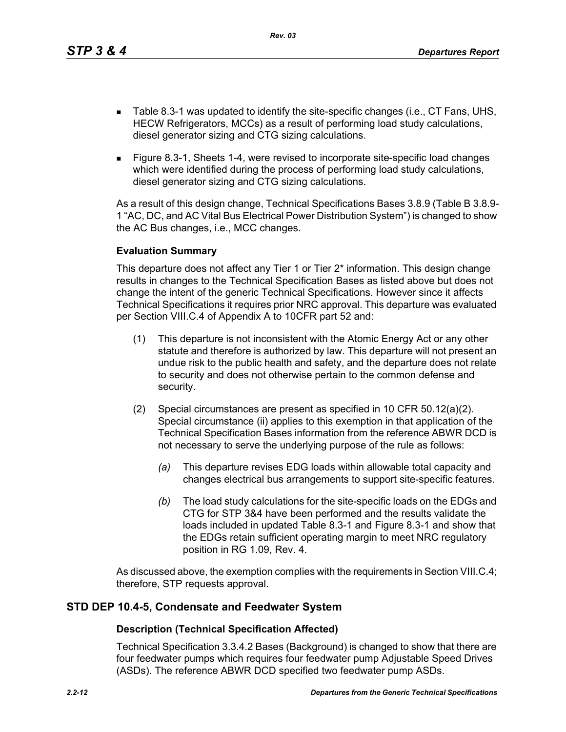*Rev. 03*

- Table 8.3-1 was updated to identify the site-specific changes (i.e., CT Fans, UHS, HECW Refrigerators, MCCs) as a result of performing load study calculations, diesel generator sizing and CTG sizing calculations.
- Figure 8.3-1, Sheets 1-4, were revised to incorporate site-specific load changes which were identified during the process of performing load study calculations, diesel generator sizing and CTG sizing calculations.

As a result of this design change, Technical Specifications Bases 3.8.9 (Table B 3.8.9- 1 "AC, DC, and AC Vital Bus Electrical Power Distribution System") is changed to show the AC Bus changes, i.e., MCC changes.

#### **Evaluation Summary**

This departure does not affect any Tier 1 or Tier 2\* information. This design change results in changes to the Technical Specification Bases as listed above but does not change the intent of the generic Technical Specifications. However since it affects Technical Specifications it requires prior NRC approval. This departure was evaluated per Section VIII.C.4 of Appendix A to 10CFR part 52 and:

- (1) This departure is not inconsistent with the Atomic Energy Act or any other statute and therefore is authorized by law. This departure will not present an undue risk to the public health and safety, and the departure does not relate to security and does not otherwise pertain to the common defense and security.
- (2) Special circumstances are present as specified in 10 CFR 50.12(a)(2). Special circumstance (ii) applies to this exemption in that application of the Technical Specification Bases information from the reference ABWR DCD is not necessary to serve the underlying purpose of the rule as follows:
	- *(a)* This departure revises EDG loads within allowable total capacity and changes electrical bus arrangements to support site-specific features.
	- *(b)* The load study calculations for the site-specific loads on the EDGs and CTG for STP 3&4 have been performed and the results validate the loads included in updated Table 8.3-1 and Figure 8.3-1 and show that the EDGs retain sufficient operating margin to meet NRC regulatory position in RG 1.09, Rev. 4.

As discussed above, the exemption complies with the requirements in Section VIII.C.4; therefore, STP requests approval.

## **STD DEP 10.4-5, Condensate and Feedwater System**

#### **Description (Technical Specification Affected)**

Technical Specification 3.3.4.2 Bases (Background) is changed to show that there are four feedwater pumps which requires four feedwater pump Adjustable Speed Drives (ASDs). The reference ABWR DCD specified two feedwater pump ASDs.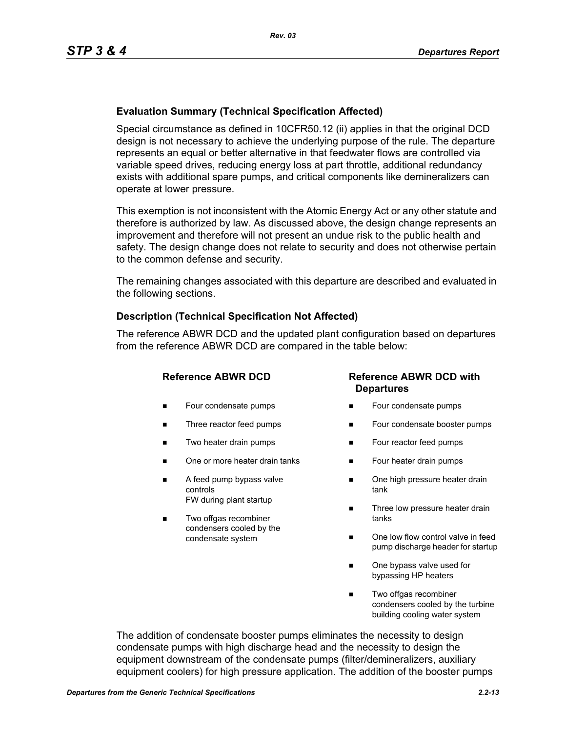## **Evaluation Summary (Technical Specification Affected)**

Special circumstance as defined in 10CFR50.12 (ii) applies in that the original DCD design is not necessary to achieve the underlying purpose of the rule. The departure represents an equal or better alternative in that feedwater flows are controlled via variable speed drives, reducing energy loss at part throttle, additional redundancy exists with additional spare pumps, and critical components like demineralizers can operate at lower pressure.

This exemption is not inconsistent with the Atomic Energy Act or any other statute and therefore is authorized by law. As discussed above, the design change represents an improvement and therefore will not present an undue risk to the public health and safety. The design change does not relate to security and does not otherwise pertain to the common defense and security.

The remaining changes associated with this departure are described and evaluated in the following sections.

#### **Description (Technical Specification Not Affected)**

The reference ABWR DCD and the updated plant configuration based on departures from the reference ABWR DCD are compared in the table below:

- **Four condensate pumps**
- Three reactor feed pumps
- Two heater drain pumps
- One or more heater drain tanks
- A feed pump bypass valve controls FW during plant startup
- Two offgas recombiner condensers cooled by the condensate system

#### **Reference ABWR DCD Reference ABWR DCD with Departures**

- Four condensate pumps
- Four condensate booster pumps
- **Four reactor feed pumps**
- Four heater drain pumps
- One high pressure heater drain tank
- Three low pressure heater drain tanks
- One low flow control valve in feed pump discharge header for startup
- One bypass valve used for bypassing HP heaters
- Two offgas recombiner condensers cooled by the turbine building cooling water system

The addition of condensate booster pumps eliminates the necessity to design condensate pumps with high discharge head and the necessity to design the equipment downstream of the condensate pumps (filter/demineralizers, auxiliary equipment coolers) for high pressure application. The addition of the booster pumps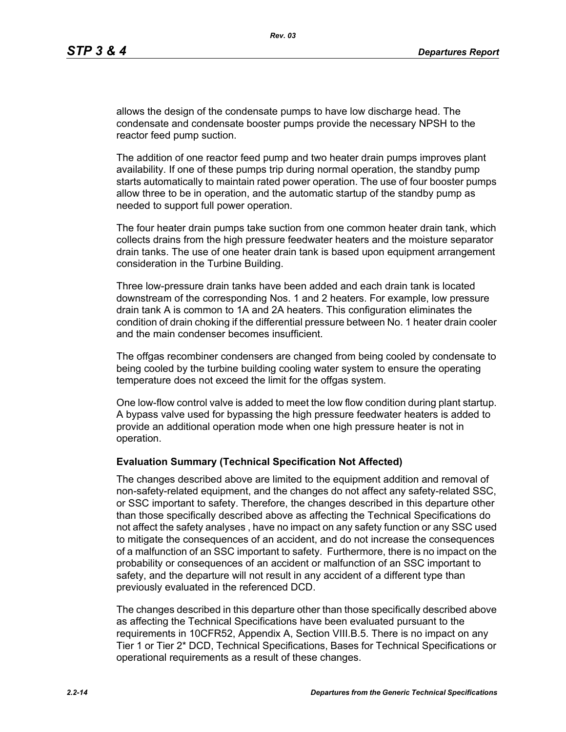allows the design of the condensate pumps to have low discharge head. The condensate and condensate booster pumps provide the necessary NPSH to the reactor feed pump suction.

The addition of one reactor feed pump and two heater drain pumps improves plant availability. If one of these pumps trip during normal operation, the standby pump starts automatically to maintain rated power operation. The use of four booster pumps allow three to be in operation, and the automatic startup of the standby pump as needed to support full power operation.

The four heater drain pumps take suction from one common heater drain tank, which collects drains from the high pressure feedwater heaters and the moisture separator drain tanks. The use of one heater drain tank is based upon equipment arrangement consideration in the Turbine Building.

Three low-pressure drain tanks have been added and each drain tank is located downstream of the corresponding Nos. 1 and 2 heaters. For example, low pressure drain tank A is common to 1A and 2A heaters. This configuration eliminates the condition of drain choking if the differential pressure between No. 1 heater drain cooler and the main condenser becomes insufficient.

The offgas recombiner condensers are changed from being cooled by condensate to being cooled by the turbine building cooling water system to ensure the operating temperature does not exceed the limit for the offgas system.

One low-flow control valve is added to meet the low flow condition during plant startup. A bypass valve used for bypassing the high pressure feedwater heaters is added to provide an additional operation mode when one high pressure heater is not in operation.

#### **Evaluation Summary (Technical Specification Not Affected)**

The changes described above are limited to the equipment addition and removal of non-safety-related equipment, and the changes do not affect any safety-related SSC, or SSC important to safety. Therefore, the changes described in this departure other than those specifically described above as affecting the Technical Specifications do not affect the safety analyses , have no impact on any safety function or any SSC used to mitigate the consequences of an accident, and do not increase the consequences of a malfunction of an SSC important to safety. Furthermore, there is no impact on the probability or consequences of an accident or malfunction of an SSC important to safety, and the departure will not result in any accident of a different type than previously evaluated in the referenced DCD.

The changes described in this departure other than those specifically described above as affecting the Technical Specifications have been evaluated pursuant to the requirements in 10CFR52, Appendix A, Section VIII.B.5. There is no impact on any Tier 1 or Tier 2\* DCD, Technical Specifications, Bases for Technical Specifications or operational requirements as a result of these changes.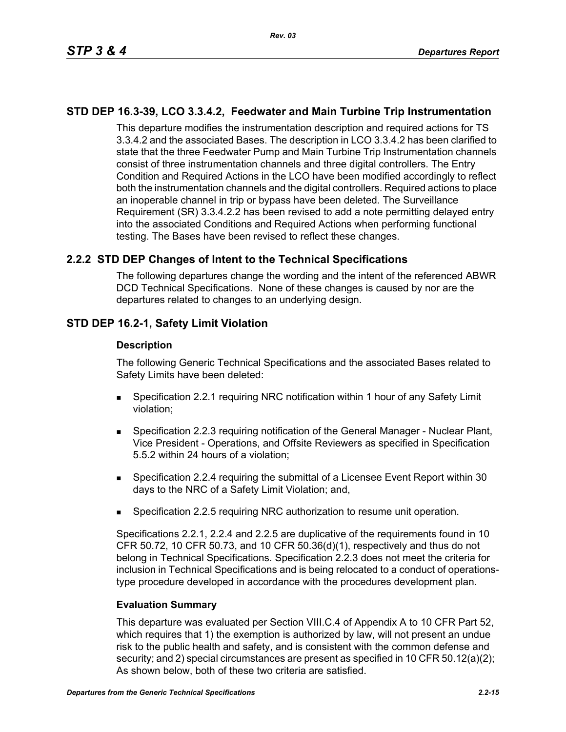## **STD DEP 16.3-39, LCO 3.3.4.2, Feedwater and Main Turbine Trip Instrumentation**

This departure modifies the instrumentation description and required actions for TS 3.3.4.2 and the associated Bases. The description in LCO 3.3.4.2 has been clarified to state that the three Feedwater Pump and Main Turbine Trip Instrumentation channels consist of three instrumentation channels and three digital controllers. The Entry Condition and Required Actions in the LCO have been modified accordingly to reflect both the instrumentation channels and the digital controllers. Required actions to place an inoperable channel in trip or bypass have been deleted. The Surveillance Requirement (SR) 3.3.4.2.2 has been revised to add a note permitting delayed entry into the associated Conditions and Required Actions when performing functional testing. The Bases have been revised to reflect these changes.

## **2.2.2 STD DEP Changes of Intent to the Technical Specifications**

The following departures change the wording and the intent of the referenced ABWR DCD Technical Specifications. None of these changes is caused by nor are the departures related to changes to an underlying design.

## **STD DEP 16.2-1, Safety Limit Violation**

#### **Description**

The following Generic Technical Specifications and the associated Bases related to Safety Limits have been deleted:

- Specification 2.2.1 requiring NRC notification within 1 hour of any Safety Limit violation;
- Specification 2.2.3 requiring notification of the General Manager Nuclear Plant, Vice President - Operations, and Offsite Reviewers as specified in Specification 5.5.2 within 24 hours of a violation;
- Specification 2.2.4 requiring the submittal of a Licensee Event Report within 30 days to the NRC of a Safety Limit Violation; and,
- Specification 2.2.5 requiring NRC authorization to resume unit operation.

Specifications 2.2.1, 2.2.4 and 2.2.5 are duplicative of the requirements found in 10 CFR 50.72, 10 CFR 50.73, and 10 CFR 50.36(d)(1), respectively and thus do not belong in Technical Specifications. Specification 2.2.3 does not meet the criteria for inclusion in Technical Specifications and is being relocated to a conduct of operationstype procedure developed in accordance with the procedures development plan.

#### **Evaluation Summary**

This departure was evaluated per Section VIII.C.4 of Appendix A to 10 CFR Part 52, which requires that 1) the exemption is authorized by law, will not present an undue risk to the public health and safety, and is consistent with the common defense and security; and 2) special circumstances are present as specified in 10 CFR 50.12(a)(2); As shown below, both of these two criteria are satisfied.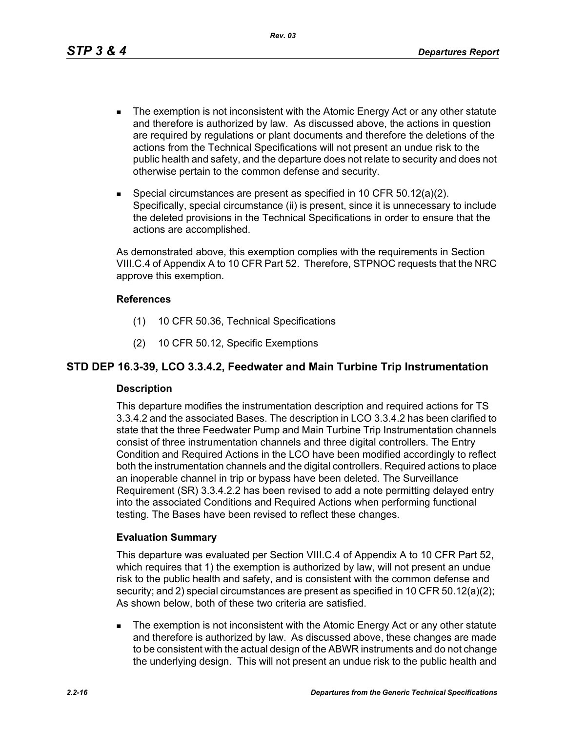*Rev. 03*

- The exemption is not inconsistent with the Atomic Energy Act or any other statute and therefore is authorized by law. As discussed above, the actions in question are required by regulations or plant documents and therefore the deletions of the actions from the Technical Specifications will not present an undue risk to the public health and safety, and the departure does not relate to security and does not otherwise pertain to the common defense and security.
- Special circumstances are present as specified in 10 CFR 50.12(a)(2). Specifically, special circumstance (ii) is present, since it is unnecessary to include the deleted provisions in the Technical Specifications in order to ensure that the actions are accomplished.

As demonstrated above, this exemption complies with the requirements in Section VIII.C.4 of Appendix A to 10 CFR Part 52. Therefore, STPNOC requests that the NRC approve this exemption.

#### **References**

- (1) 10 CFR 50.36, Technical Specifications
- (2) 10 CFR 50.12, Specific Exemptions

## **STD DEP 16.3-39, LCO 3.3.4.2, Feedwater and Main Turbine Trip Instrumentation**

#### **Description**

This departure modifies the instrumentation description and required actions for TS 3.3.4.2 and the associated Bases. The description in LCO 3.3.4.2 has been clarified to state that the three Feedwater Pump and Main Turbine Trip Instrumentation channels consist of three instrumentation channels and three digital controllers. The Entry Condition and Required Actions in the LCO have been modified accordingly to reflect both the instrumentation channels and the digital controllers. Required actions to place an inoperable channel in trip or bypass have been deleted. The Surveillance Requirement (SR) 3.3.4.2.2 has been revised to add a note permitting delayed entry into the associated Conditions and Required Actions when performing functional testing. The Bases have been revised to reflect these changes.

#### **Evaluation Summary**

This departure was evaluated per Section VIII.C.4 of Appendix A to 10 CFR Part 52, which requires that 1) the exemption is authorized by law, will not present an undue risk to the public health and safety, and is consistent with the common defense and security; and 2) special circumstances are present as specified in 10 CFR 50.12(a)(2); As shown below, both of these two criteria are satisfied.

**The exemption is not inconsistent with the Atomic Energy Act or any other statute** and therefore is authorized by law. As discussed above, these changes are made to be consistent with the actual design of the ABWR instruments and do not change the underlying design. This will not present an undue risk to the public health and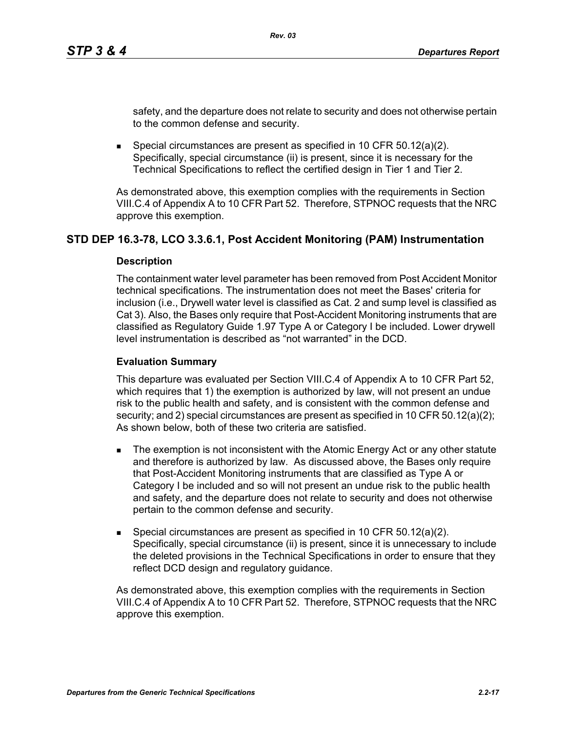safety, and the departure does not relate to security and does not otherwise pertain to the common defense and security.

Special circumstances are present as specified in 10 CFR 50.12(a)(2). Specifically, special circumstance (ii) is present, since it is necessary for the Technical Specifications to reflect the certified design in Tier 1 and Tier 2.

As demonstrated above, this exemption complies with the requirements in Section VIII.C.4 of Appendix A to 10 CFR Part 52. Therefore, STPNOC requests that the NRC approve this exemption.

## **STD DEP 16.3-78, LCO 3.3.6.1, Post Accident Monitoring (PAM) Instrumentation**

#### **Description**

The containment water level parameter has been removed from Post Accident Monitor technical specifications. The instrumentation does not meet the Bases' criteria for inclusion (i.e., Drywell water level is classified as Cat. 2 and sump level is classified as Cat 3). Also, the Bases only require that Post-Accident Monitoring instruments that are classified as Regulatory Guide 1.97 Type A or Category I be included. Lower drywell level instrumentation is described as "not warranted" in the DCD.

#### **Evaluation Summary**

This departure was evaluated per Section VIII.C.4 of Appendix A to 10 CFR Part 52, which requires that 1) the exemption is authorized by law, will not present an undue risk to the public health and safety, and is consistent with the common defense and security; and 2) special circumstances are present as specified in 10 CFR 50.12(a)(2); As shown below, both of these two criteria are satisfied.

- The exemption is not inconsistent with the Atomic Energy Act or any other statute and therefore is authorized by law. As discussed above, the Bases only require that Post-Accident Monitoring instruments that are classified as Type A or Category I be included and so will not present an undue risk to the public health and safety, and the departure does not relate to security and does not otherwise pertain to the common defense and security.
- Special circumstances are present as specified in 10 CFR  $50.12(a)(2)$ . Specifically, special circumstance (ii) is present, since it is unnecessary to include the deleted provisions in the Technical Specifications in order to ensure that they reflect DCD design and regulatory guidance.

As demonstrated above, this exemption complies with the requirements in Section VIII.C.4 of Appendix A to 10 CFR Part 52. Therefore, STPNOC requests that the NRC approve this exemption.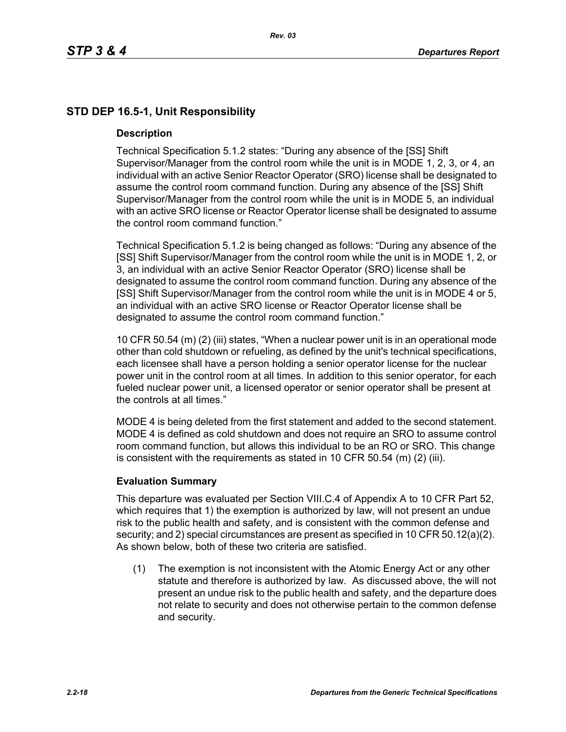# **STD DEP 16.5-1, Unit Responsibility**

#### **Description**

Technical Specification 5.1.2 states: "During any absence of the [SS] Shift Supervisor/Manager from the control room while the unit is in MODE 1, 2, 3, or 4, an individual with an active Senior Reactor Operator (SRO) license shall be designated to assume the control room command function. During any absence of the [SS] Shift Supervisor/Manager from the control room while the unit is in MODE 5, an individual with an active SRO license or Reactor Operator license shall be designated to assume the control room command function."

Technical Specification 5.1.2 is being changed as follows: "During any absence of the [SS] Shift Supervisor/Manager from the control room while the unit is in MODE 1, 2, or 3, an individual with an active Senior Reactor Operator (SRO) license shall be designated to assume the control room command function. During any absence of the [SS] Shift Supervisor/Manager from the control room while the unit is in MODE 4 or 5, an individual with an active SRO license or Reactor Operator license shall be designated to assume the control room command function."

10 CFR 50.54 (m) (2) (iii) states, "When a nuclear power unit is in an operational mode other than cold shutdown or refueling, as defined by the unit's technical specifications, each licensee shall have a person holding a senior operator license for the nuclear power unit in the control room at all times. In addition to this senior operator, for each fueled nuclear power unit, a licensed operator or senior operator shall be present at the controls at all times."

MODE 4 is being deleted from the first statement and added to the second statement. MODE 4 is defined as cold shutdown and does not require an SRO to assume control room command function, but allows this individual to be an RO or SRO. This change is consistent with the requirements as stated in 10 CFR 50.54 (m) (2) (iii).

#### **Evaluation Summary**

This departure was evaluated per Section VIII.C.4 of Appendix A to 10 CFR Part 52, which requires that 1) the exemption is authorized by law, will not present an undue risk to the public health and safety, and is consistent with the common defense and security; and 2) special circumstances are present as specified in 10 CFR 50.12(a)(2). As shown below, both of these two criteria are satisfied.

(1) The exemption is not inconsistent with the Atomic Energy Act or any other statute and therefore is authorized by law. As discussed above, the will not present an undue risk to the public health and safety, and the departure does not relate to security and does not otherwise pertain to the common defense and security.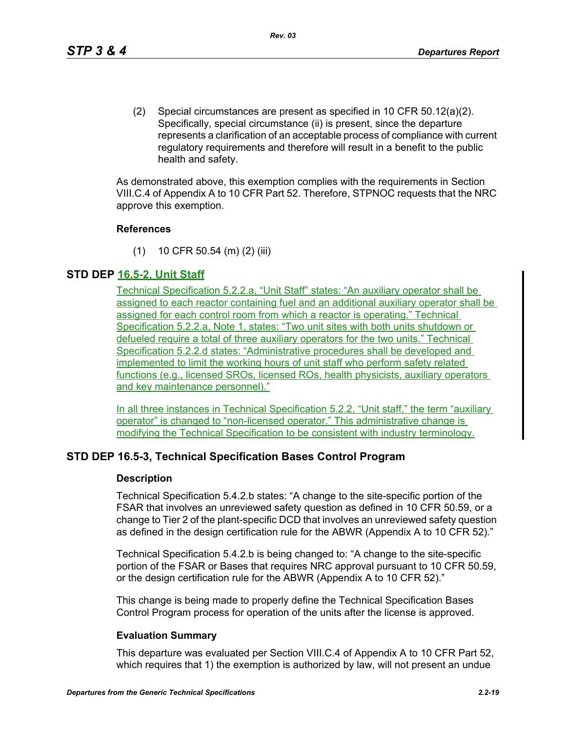(2) Special circumstances are present as specified in 10 CFR 50.12(a)(2). Specifically, special circumstance (ii) is present, since the departure represents a clarification of an acceptable process of compliance with current regulatory requirements and therefore will result in a benefit to the public health and safety.

As demonstrated above, this exemption complies with the requirements in Section VIII.C.4 of Appendix A to 10 CFR Part 52. Therefore, STPNOC requests that the NRC approve this exemption.

#### **References**

(1) 10 CFR 50.54 (m) (2) (iii)

## **STD DEP 16.5-2, Unit Staff**

Technical Specification 5.2.2.a, "Unit Staff" states: "An auxiliary operator shall be assigned to each reactor containing fuel and an additional auxiliary operator shall be assigned for each control room from which a reactor is operating." Technical Specification 5.2.2.a, Note 1, states: "Two unit sites with both units shutdown or defueled require a total of three auxiliary operators for the two units." Technical Specification 5.2.2.d states: "Administrative procedures shall be developed and implemented to limit the working hours of unit staff who perform safety related functions (e.g., licensed SROs, licensed ROs, health physicists, auxiliary operators and key maintenance personnel)."

In all three instances in Technical Specification 5.2.2, "Unit staff," the term "auxiliary operator" is changed to "non-licensed operator." This administrative change is modifying the Technical Specification to be consistent with industry terminology.

## **STD DEP 16.5-3, Technical Specification Bases Control Program**

#### **Description**

Technical Specification 5.4.2.b states: "A change to the site-specific portion of the FSAR that involves an unreviewed safety question as defined in 10 CFR 50.59, or a change to Tier 2 of the plant-specific DCD that involves an unreviewed safety question as defined in the design certification rule for the ABWR (Appendix A to 10 CFR 52)."

Technical Specification 5.4.2.b is being changed to: "A change to the site-specific portion of the FSAR or Bases that requires NRC approval pursuant to 10 CFR 50.59, or the design certification rule for the ABWR (Appendix A to 10 CFR 52)."

This change is being made to properly define the Technical Specification Bases Control Program process for operation of the units after the license is approved.

#### **Evaluation Summary**

This departure was evaluated per Section VIII.C.4 of Appendix A to 10 CFR Part 52, which requires that 1) the exemption is authorized by law, will not present an undue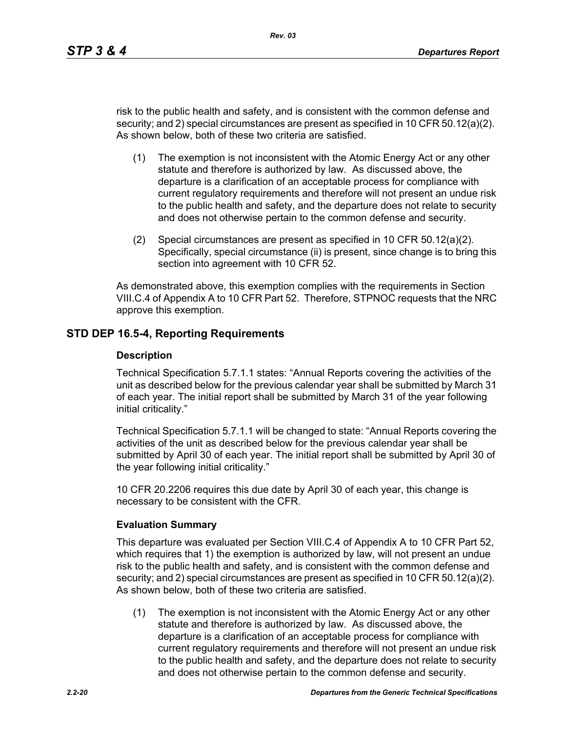risk to the public health and safety, and is consistent with the common defense and security; and 2) special circumstances are present as specified in 10 CFR 50.12(a)(2). As shown below, both of these two criteria are satisfied.

- (1) The exemption is not inconsistent with the Atomic Energy Act or any other statute and therefore is authorized by law. As discussed above, the departure is a clarification of an acceptable process for compliance with current regulatory requirements and therefore will not present an undue risk to the public health and safety, and the departure does not relate to security and does not otherwise pertain to the common defense and security.
- (2) Special circumstances are present as specified in 10 CFR 50.12(a)(2). Specifically, special circumstance (ii) is present, since change is to bring this section into agreement with 10 CFR 52.

As demonstrated above, this exemption complies with the requirements in Section VIII.C.4 of Appendix A to 10 CFR Part 52. Therefore, STPNOC requests that the NRC approve this exemption.

#### **STD DEP 16.5-4, Reporting Requirements**

#### **Description**

Technical Specification 5.7.1.1 states: "Annual Reports covering the activities of the unit as described below for the previous calendar year shall be submitted by March 31 of each year. The initial report shall be submitted by March 31 of the year following initial criticality."

Technical Specification 5.7.1.1 will be changed to state: "Annual Reports covering the activities of the unit as described below for the previous calendar year shall be submitted by April 30 of each year. The initial report shall be submitted by April 30 of the year following initial criticality."

10 CFR 20.2206 requires this due date by April 30 of each year, this change is necessary to be consistent with the CFR.

#### **Evaluation Summary**

This departure was evaluated per Section VIII.C.4 of Appendix A to 10 CFR Part 52, which requires that 1) the exemption is authorized by law, will not present an undue risk to the public health and safety, and is consistent with the common defense and security; and 2) special circumstances are present as specified in 10 CFR 50.12(a)(2). As shown below, both of these two criteria are satisfied.

(1) The exemption is not inconsistent with the Atomic Energy Act or any other statute and therefore is authorized by law. As discussed above, the departure is a clarification of an acceptable process for compliance with current regulatory requirements and therefore will not present an undue risk to the public health and safety, and the departure does not relate to security and does not otherwise pertain to the common defense and security.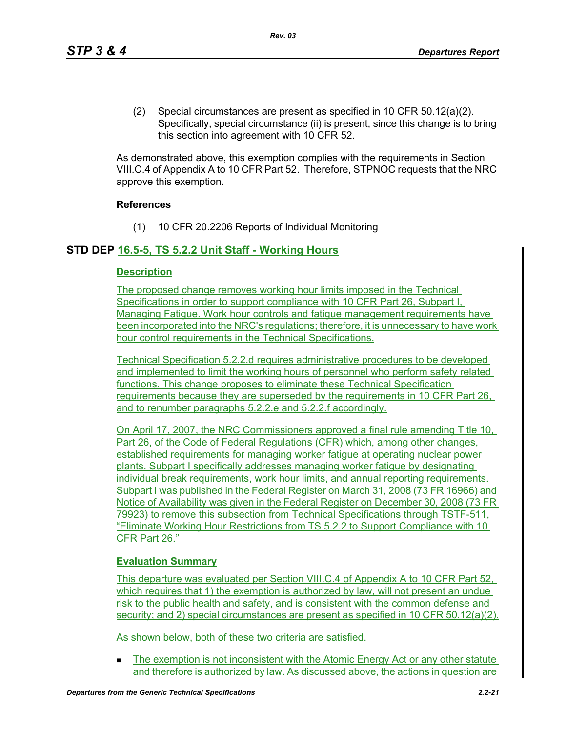(2) Special circumstances are present as specified in 10 CFR 50.12(a)(2). Specifically, special circumstance (ii) is present, since this change is to bring this section into agreement with 10 CFR 52.

As demonstrated above, this exemption complies with the requirements in Section VIII.C.4 of Appendix A to 10 CFR Part 52. Therefore, STPNOC requests that the NRC approve this exemption.

#### **References**

(1) 10 CFR 20.2206 Reports of Individual Monitoring

## **STD DEP 16.5-5, TS 5.2.2 Unit Staff - Working Hours**

#### **Description**

The proposed change removes working hour limits imposed in the Technical Specifications in order to support compliance with 10 CFR Part 26, Subpart I, Managing Fatigue. Work hour controls and fatigue management requirements have been incorporated into the NRC's regulations; therefore, it is unnecessary to have work hour control requirements in the Technical Specifications.

Technical Specification 5.2.2.d requires administrative procedures to be developed and implemented to limit the working hours of personnel who perform safety related functions. This change proposes to eliminate these Technical Specification requirements because they are superseded by the requirements in 10 CFR Part 26, and to renumber paragraphs 5.2.2.e and 5.2.2.f accordingly.

On April 17, 2007, the NRC Commissioners approved a final rule amending Title 10, Part 26, of the Code of Federal Regulations (CFR) which, among other changes, established requirements for managing worker fatigue at operating nuclear power plants. Subpart I specifically addresses managing worker fatigue by designating individual break requirements, work hour limits, and annual reporting requirements. Subpart I was published in the Federal Register on March 31, 2008 (73 FR 16966) and Notice of Availability was given in the Federal Register on December 30, 2008 (73 FR 79923) to remove this subsection from Technical Specifications through TSTF-511, "Eliminate Working Hour Restrictions from TS 5.2.2 to Support Compliance with 10 CFR Part 26."

#### **Evaluation Summary**

This departure was evaluated per Section VIII.C.4 of Appendix A to 10 CFR Part 52, which requires that 1) the exemption is authorized by law, will not present an undue risk to the public health and safety, and is consistent with the common defense and security; and 2) special circumstances are present as specified in 10 CFR 50.12(a)(2).

As shown below, both of these two criteria are satisfied.

The exemption is not inconsistent with the Atomic Energy Act or any other statute and therefore is authorized by law. As discussed above, the actions in question are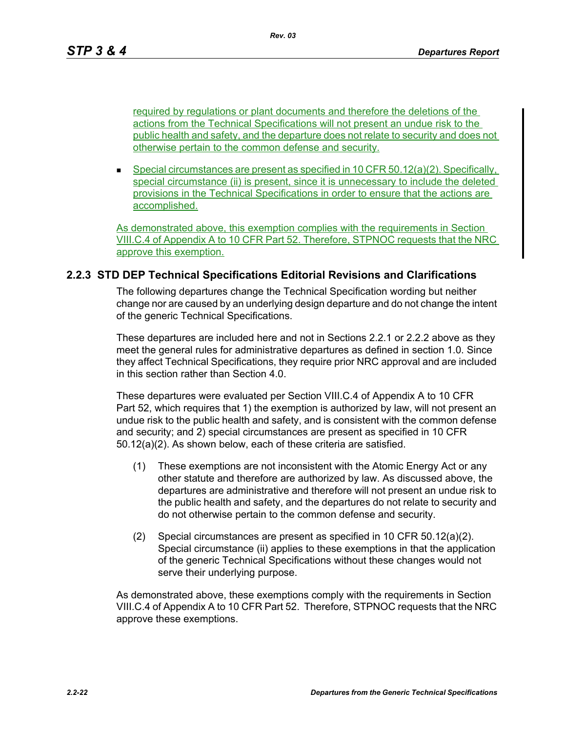*Rev. 03*

required by regulations or plant documents and therefore the deletions of the actions from the Technical Specifications will not present an undue risk to the public health and safety, and the departure does not relate to security and does not otherwise pertain to the common defense and security.

Special circumstances are present as specified in 10 CFR  $50.12(a)(2)$ . Specifically, special circumstance (ii) is present, since it is unnecessary to include the deleted provisions in the Technical Specifications in order to ensure that the actions are accomplished.

As demonstrated above, this exemption complies with the requirements in Section VIII.C.4 of Appendix A to 10 CFR Part 52. Therefore, STPNOC requests that the NRC approve this exemption.

## **2.2.3 STD DEP Technical Specifications Editorial Revisions and Clarifications**

The following departures change the Technical Specification wording but neither change nor are caused by an underlying design departure and do not change the intent of the generic Technical Specifications.

These departures are included here and not in Sections 2.2.1 or 2.2.2 above as they meet the general rules for administrative departures as defined in section 1.0. Since they affect Technical Specifications, they require prior NRC approval and are included in this section rather than Section 4.0.

These departures were evaluated per Section VIII.C.4 of Appendix A to 10 CFR Part 52, which requires that 1) the exemption is authorized by law, will not present an undue risk to the public health and safety, and is consistent with the common defense and security; and 2) special circumstances are present as specified in 10 CFR 50.12(a)(2). As shown below, each of these criteria are satisfied.

- (1) These exemptions are not inconsistent with the Atomic Energy Act or any other statute and therefore are authorized by law. As discussed above, the departures are administrative and therefore will not present an undue risk to the public health and safety, and the departures do not relate to security and do not otherwise pertain to the common defense and security.
- (2) Special circumstances are present as specified in 10 CFR 50.12(a)(2). Special circumstance (ii) applies to these exemptions in that the application of the generic Technical Specifications without these changes would not serve their underlying purpose.

As demonstrated above, these exemptions comply with the requirements in Section VIII.C.4 of Appendix A to 10 CFR Part 52. Therefore, STPNOC requests that the NRC approve these exemptions.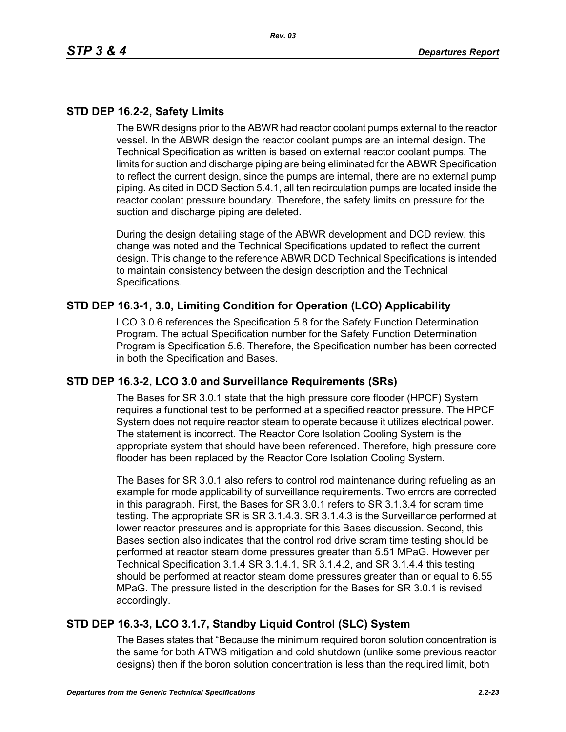# **STD DEP 16.2-2, Safety Limits**

The BWR designs prior to the ABWR had reactor coolant pumps external to the reactor vessel. In the ABWR design the reactor coolant pumps are an internal design. The Technical Specification as written is based on external reactor coolant pumps. The limits for suction and discharge piping are being eliminated for the ABWR Specification to reflect the current design, since the pumps are internal, there are no external pump piping. As cited in DCD Section 5.4.1, all ten recirculation pumps are located inside the reactor coolant pressure boundary. Therefore, the safety limits on pressure for the suction and discharge piping are deleted.

During the design detailing stage of the ABWR development and DCD review, this change was noted and the Technical Specifications updated to reflect the current design. This change to the reference ABWR DCD Technical Specifications is intended to maintain consistency between the design description and the Technical Specifications.

## **STD DEP 16.3-1, 3.0, Limiting Condition for Operation (LCO) Applicability**

LCO 3.0.6 references the Specification 5.8 for the Safety Function Determination Program. The actual Specification number for the Safety Function Determination Program is Specification 5.6. Therefore, the Specification number has been corrected in both the Specification and Bases.

#### **STD DEP 16.3-2, LCO 3.0 and Surveillance Requirements (SRs)**

The Bases for SR 3.0.1 state that the high pressure core flooder (HPCF) System requires a functional test to be performed at a specified reactor pressure. The HPCF System does not require reactor steam to operate because it utilizes electrical power. The statement is incorrect. The Reactor Core Isolation Cooling System is the appropriate system that should have been referenced. Therefore, high pressure core flooder has been replaced by the Reactor Core Isolation Cooling System.

The Bases for SR 3.0.1 also refers to control rod maintenance during refueling as an example for mode applicability of surveillance requirements. Two errors are corrected in this paragraph. First, the Bases for SR 3.0.1 refers to SR 3.1.3.4 for scram time testing. The appropriate SR is SR 3.1.4.3. SR 3.1.4.3 is the Surveillance performed at lower reactor pressures and is appropriate for this Bases discussion. Second, this Bases section also indicates that the control rod drive scram time testing should be performed at reactor steam dome pressures greater than 5.51 MPaG. However per Technical Specification 3.1.4 SR 3.1.4.1, SR 3.1.4.2, and SR 3.1.4.4 this testing should be performed at reactor steam dome pressures greater than or equal to 6.55 MPaG. The pressure listed in the description for the Bases for SR 3.0.1 is revised accordingly.

## **STD DEP 16.3-3, LCO 3.1.7, Standby Liquid Control (SLC) System**

The Bases states that "Because the minimum required boron solution concentration is the same for both ATWS mitigation and cold shutdown (unlike some previous reactor designs) then if the boron solution concentration is less than the required limit, both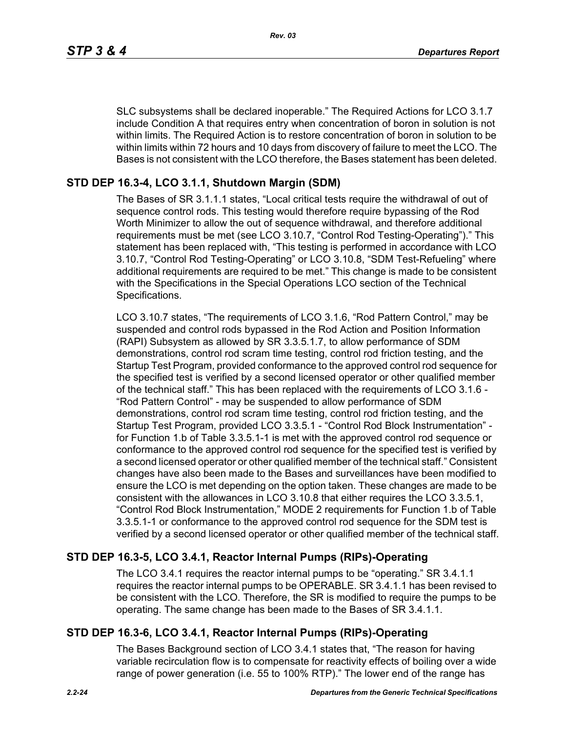SLC subsystems shall be declared inoperable." The Required Actions for LCO 3.1.7 include Condition A that requires entry when concentration of boron in solution is not within limits. The Required Action is to restore concentration of boron in solution to be within limits within 72 hours and 10 days from discovery of failure to meet the LCO. The Bases is not consistent with the LCO therefore, the Bases statement has been deleted.

# **STD DEP 16.3-4, LCO 3.1.1, Shutdown Margin (SDM)**

The Bases of SR 3.1.1.1 states, "Local critical tests require the withdrawal of out of sequence control rods. This testing would therefore require bypassing of the Rod Worth Minimizer to allow the out of sequence withdrawal, and therefore additional requirements must be met (see LCO 3.10.7, "Control Rod Testing-Operating")." This statement has been replaced with, "This testing is performed in accordance with LCO 3.10.7, "Control Rod Testing-Operating" or LCO 3.10.8, "SDM Test-Refueling" where additional requirements are required to be met." This change is made to be consistent with the Specifications in the Special Operations LCO section of the Technical Specifications.

LCO 3.10.7 states, "The requirements of LCO 3.1.6, "Rod Pattern Control," may be suspended and control rods bypassed in the Rod Action and Position Information (RAPI) Subsystem as allowed by SR 3.3.5.1.7, to allow performance of SDM demonstrations, control rod scram time testing, control rod friction testing, and the Startup Test Program, provided conformance to the approved control rod sequence for the specified test is verified by a second licensed operator or other qualified member of the technical staff." This has been replaced with the requirements of LCO 3.1.6 - "Rod Pattern Control" - may be suspended to allow performance of SDM demonstrations, control rod scram time testing, control rod friction testing, and the Startup Test Program, provided LCO 3.3.5.1 - "Control Rod Block Instrumentation" for Function 1.b of Table 3.3.5.1-1 is met with the approved control rod sequence or conformance to the approved control rod sequence for the specified test is verified by a second licensed operator or other qualified member of the technical staff." Consistent changes have also been made to the Bases and surveillances have been modified to ensure the LCO is met depending on the option taken. These changes are made to be consistent with the allowances in LCO 3.10.8 that either requires the LCO 3.3.5.1, "Control Rod Block Instrumentation," MODE 2 requirements for Function 1.b of Table 3.3.5.1-1 or conformance to the approved control rod sequence for the SDM test is verified by a second licensed operator or other qualified member of the technical staff.

# **STD DEP 16.3-5, LCO 3.4.1, Reactor Internal Pumps (RIPs)-Operating**

The LCO 3.4.1 requires the reactor internal pumps to be "operating." SR 3.4.1.1 requires the reactor internal pumps to be OPERABLE. SR 3.4.1.1 has been revised to be consistent with the LCO. Therefore, the SR is modified to require the pumps to be operating. The same change has been made to the Bases of SR 3.4.1.1.

# **STD DEP 16.3-6, LCO 3.4.1, Reactor Internal Pumps (RIPs)-Operating**

The Bases Background section of LCO 3.4.1 states that, "The reason for having variable recirculation flow is to compensate for reactivity effects of boiling over a wide range of power generation (i.e. 55 to 100% RTP)." The lower end of the range has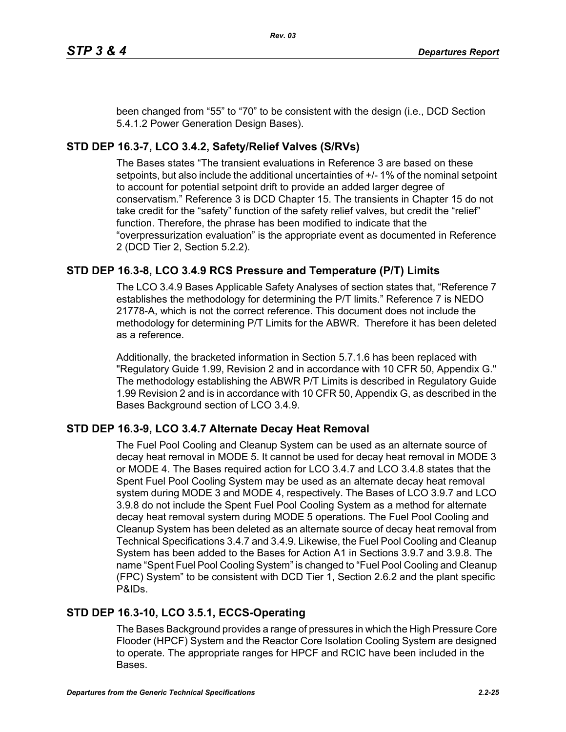been changed from "55" to "70" to be consistent with the design (i.e., DCD Section 5.4.1.2 Power Generation Design Bases).

# **STD DEP 16.3-7, LCO 3.4.2, Safety/Relief Valves (S/RVs)**

The Bases states "The transient evaluations in Reference 3 are based on these setpoints, but also include the additional uncertainties of +/- 1% of the nominal setpoint to account for potential setpoint drift to provide an added larger degree of conservatism." Reference 3 is DCD Chapter 15. The transients in Chapter 15 do not take credit for the "safety" function of the safety relief valves, but credit the "relief" function. Therefore, the phrase has been modified to indicate that the "overpressurization evaluation" is the appropriate event as documented in Reference 2 (DCD Tier 2, Section 5.2.2).

# **STD DEP 16.3-8, LCO 3.4.9 RCS Pressure and Temperature (P/T) Limits**

The LCO 3.4.9 Bases Applicable Safety Analyses of section states that, "Reference 7 establishes the methodology for determining the P/T limits." Reference 7 is NEDO 21778-A, which is not the correct reference. This document does not include the methodology for determining P/T Limits for the ABWR. Therefore it has been deleted as a reference.

Additionally, the bracketed information in Section 5.7.1.6 has been replaced with "Regulatory Guide 1.99, Revision 2 and in accordance with 10 CFR 50, Appendix G." The methodology establishing the ABWR P/T Limits is described in Regulatory Guide 1.99 Revision 2 and is in accordance with 10 CFR 50, Appendix G, as described in the Bases Background section of LCO 3.4.9.

## **STD DEP 16.3-9, LCO 3.4.7 Alternate Decay Heat Removal**

The Fuel Pool Cooling and Cleanup System can be used as an alternate source of decay heat removal in MODE 5. It cannot be used for decay heat removal in MODE 3 or MODE 4. The Bases required action for LCO 3.4.7 and LCO 3.4.8 states that the Spent Fuel Pool Cooling System may be used as an alternate decay heat removal system during MODE 3 and MODE 4, respectively. The Bases of LCO 3.9.7 and LCO 3.9.8 do not include the Spent Fuel Pool Cooling System as a method for alternate decay heat removal system during MODE 5 operations. The Fuel Pool Cooling and Cleanup System has been deleted as an alternate source of decay heat removal from Technical Specifications 3.4.7 and 3.4.9. Likewise, the Fuel Pool Cooling and Cleanup System has been added to the Bases for Action A1 in Sections 3.9.7 and 3.9.8. The name "Spent Fuel Pool Cooling System" is changed to "Fuel Pool Cooling and Cleanup (FPC) System" to be consistent with DCD Tier 1, Section 2.6.2 and the plant specific P&IDs.

## **STD DEP 16.3-10, LCO 3.5.1, ECCS-Operating**

The Bases Background provides a range of pressures in which the High Pressure Core Flooder (HPCF) System and the Reactor Core Isolation Cooling System are designed to operate. The appropriate ranges for HPCF and RCIC have been included in the Bases.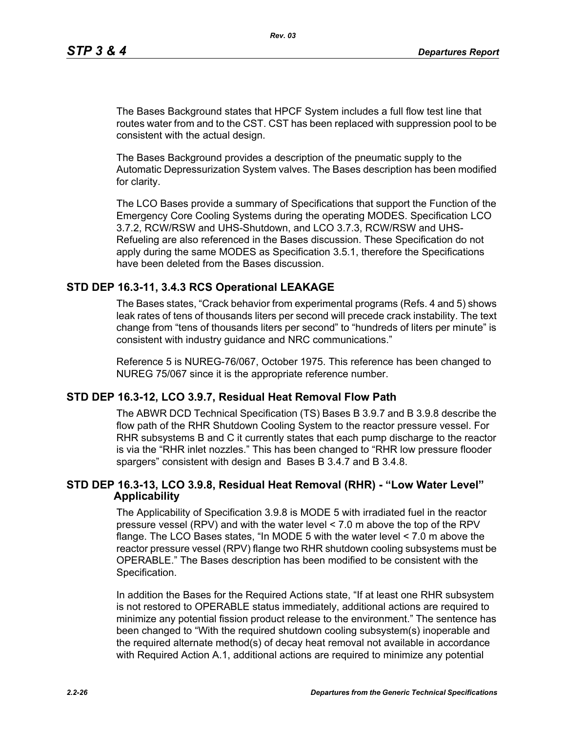The Bases Background states that HPCF System includes a full flow test line that routes water from and to the CST. CST has been replaced with suppression pool to be consistent with the actual design.

The Bases Background provides a description of the pneumatic supply to the Automatic Depressurization System valves. The Bases description has been modified for clarity.

The LCO Bases provide a summary of Specifications that support the Function of the Emergency Core Cooling Systems during the operating MODES. Specification LCO 3.7.2, RCW/RSW and UHS-Shutdown, and LCO 3.7.3, RCW/RSW and UHS-Refueling are also referenced in the Bases discussion. These Specification do not apply during the same MODES as Specification 3.5.1, therefore the Specifications have been deleted from the Bases discussion.

#### **STD DEP 16.3-11, 3.4.3 RCS Operational LEAKAGE**

The Bases states, "Crack behavior from experimental programs (Refs. 4 and 5) shows leak rates of tens of thousands liters per second will precede crack instability. The text change from "tens of thousands liters per second" to "hundreds of liters per minute" is consistent with industry guidance and NRC communications."

Reference 5 is NUREG-76/067, October 1975. This reference has been changed to NUREG 75/067 since it is the appropriate reference number.

#### **STD DEP 16.3-12, LCO 3.9.7, Residual Heat Removal Flow Path**

The ABWR DCD Technical Specification (TS) Bases B 3.9.7 and B 3.9.8 describe the flow path of the RHR Shutdown Cooling System to the reactor pressure vessel. For RHR subsystems B and C it currently states that each pump discharge to the reactor is via the "RHR inlet nozzles." This has been changed to "RHR low pressure flooder spargers" consistent with design and Bases B 3.4.7 and B 3.4.8.

#### **STD DEP 16.3-13, LCO 3.9.8, Residual Heat Removal (RHR) - "Low Water Level" Applicability**

The Applicability of Specification 3.9.8 is MODE 5 with irradiated fuel in the reactor pressure vessel (RPV) and with the water level < 7.0 m above the top of the RPV flange. The LCO Bases states, "In MODE 5 with the water level < 7.0 m above the reactor pressure vessel (RPV) flange two RHR shutdown cooling subsystems must be OPERABLE." The Bases description has been modified to be consistent with the Specification.

In addition the Bases for the Required Actions state, "If at least one RHR subsystem is not restored to OPERABLE status immediately, additional actions are required to minimize any potential fission product release to the environment." The sentence has been changed to "With the required shutdown cooling subsystem(s) inoperable and the required alternate method(s) of decay heat removal not available in accordance with Required Action A.1, additional actions are required to minimize any potential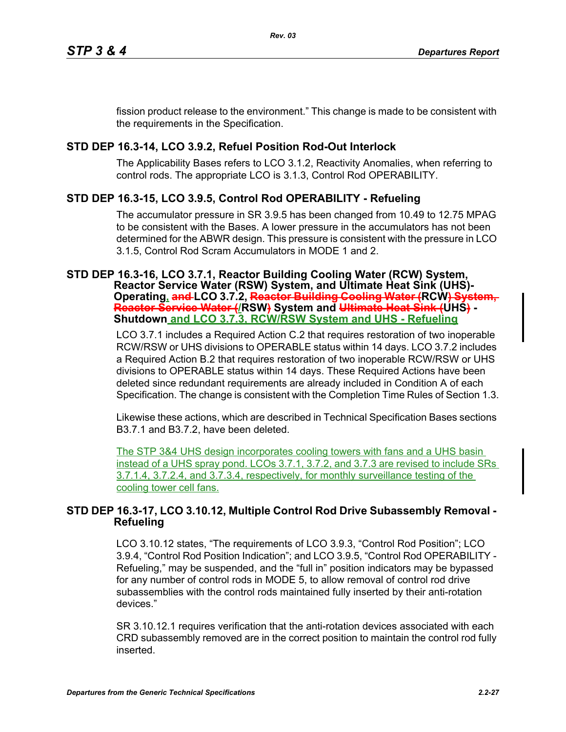fission product release to the environment." This change is made to be consistent with the requirements in the Specification.

# **STD DEP 16.3-14, LCO 3.9.2, Refuel Position Rod-Out Interlock**

The Applicability Bases refers to LCO 3.1.2, Reactivity Anomalies, when referring to control rods. The appropriate LCO is 3.1.3, Control Rod OPERABILITY.

# **STD DEP 16.3-15, LCO 3.9.5, Control Rod OPERABILITY - Refueling**

The accumulator pressure in SR 3.9.5 has been changed from 10.49 to 12.75 MPAG to be consistent with the Bases. A lower pressure in the accumulators has not been determined for the ABWR design. This pressure is consistent with the pressure in LCO 3.1.5, Control Rod Scram Accumulators in MODE 1 and 2.

# **STD DEP 16.3-16, LCO 3.7.1, Reactor Building Cooling Water (RCW) System,**

**Reactor Service Water (RSW) System, and Ultimate Heat Sink (UHS)- Operating, and LCO 3.7.2, Reactor Building Cooling Water (RCW) System,**  <del>Reactor Service Water (</del>/RSW<del>)</del> System and <del>Ultimate Heat Sink (</del>ÚHS) -<br>Shutdown <u>and LCO 3.7.3, RCW/RSW System and UHS - Refueling</u>

LCO 3.7.1 includes a Required Action C.2 that requires restoration of two inoperable RCW/RSW or UHS divisions to OPERABLE status within 14 days. LCO 3.7.2 includes a Required Action B.2 that requires restoration of two inoperable RCW/RSW or UHS divisions to OPERABLE status within 14 days. These Required Actions have been deleted since redundant requirements are already included in Condition A of each Specification. The change is consistent with the Completion Time Rules of Section 1.3.

Likewise these actions, which are described in Technical Specification Bases sections B3.7.1 and B3.7.2, have been deleted.

The STP 3&4 UHS design incorporates cooling towers with fans and a UHS basin instead of a UHS spray pond. LCOs 3.7.1, 3.7.2, and 3.7.3 are revised to include SRs 3.7.1.4, 3.7.2.4, and 3.7.3.4, respectively, for monthly surveillance testing of the cooling tower cell fans.

## **STD DEP 16.3-17, LCO 3.10.12, Multiple Control Rod Drive Subassembly Removal - Refueling**

LCO 3.10.12 states, "The requirements of LCO 3.9.3, "Control Rod Position"; LCO 3.9.4, "Control Rod Position Indication"; and LCO 3.9.5, "Control Rod OPERABILITY - Refueling," may be suspended, and the "full in" position indicators may be bypassed for any number of control rods in MODE 5, to allow removal of control rod drive subassemblies with the control rods maintained fully inserted by their anti-rotation devices."

SR 3.10.12.1 requires verification that the anti-rotation devices associated with each CRD subassembly removed are in the correct position to maintain the control rod fully inserted.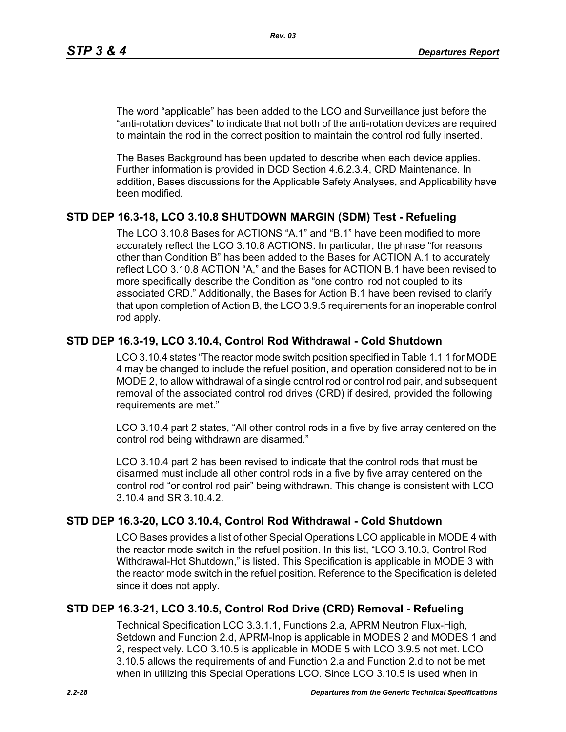The word "applicable" has been added to the LCO and Surveillance just before the "anti-rotation devices" to indicate that not both of the anti-rotation devices are required to maintain the rod in the correct position to maintain the control rod fully inserted.

The Bases Background has been updated to describe when each device applies. Further information is provided in DCD Section 4.6.2.3.4, CRD Maintenance. In addition, Bases discussions for the Applicable Safety Analyses, and Applicability have been modified.

## **STD DEP 16.3-18, LCO 3.10.8 SHUTDOWN MARGIN (SDM) Test - Refueling**

The LCO 3.10.8 Bases for ACTIONS "A.1" and "B.1" have been modified to more accurately reflect the LCO 3.10.8 ACTIONS. In particular, the phrase "for reasons other than Condition B" has been added to the Bases for ACTION A.1 to accurately reflect LCO 3.10.8 ACTION "A," and the Bases for ACTION B.1 have been revised to more specifically describe the Condition as "one control rod not coupled to its associated CRD." Additionally, the Bases for Action B.1 have been revised to clarify that upon completion of Action B, the LCO 3.9.5 requirements for an inoperable control rod apply.

## **STD DEP 16.3-19, LCO 3.10.4, Control Rod Withdrawal - Cold Shutdown**

LCO 3.10.4 states "The reactor mode switch position specified in Table 1.1 1 for MODE 4 may be changed to include the refuel position, and operation considered not to be in MODE 2, to allow withdrawal of a single control rod or control rod pair, and subsequent removal of the associated control rod drives (CRD) if desired, provided the following requirements are met."

LCO 3.10.4 part 2 states, "All other control rods in a five by five array centered on the control rod being withdrawn are disarmed."

LCO 3.10.4 part 2 has been revised to indicate that the control rods that must be disarmed must include all other control rods in a five by five array centered on the control rod "or control rod pair" being withdrawn. This change is consistent with LCO 3.10.4 and SR 3.10.4.2.

#### **STD DEP 16.3-20, LCO 3.10.4, Control Rod Withdrawal - Cold Shutdown**

LCO Bases provides a list of other Special Operations LCO applicable in MODE 4 with the reactor mode switch in the refuel position. In this list, "LCO 3.10.3, Control Rod Withdrawal-Hot Shutdown," is listed. This Specification is applicable in MODE 3 with the reactor mode switch in the refuel position. Reference to the Specification is deleted since it does not apply.

## **STD DEP 16.3-21, LCO 3.10.5, Control Rod Drive (CRD) Removal - Refueling**

Technical Specification LCO 3.3.1.1, Functions 2.a, APRM Neutron Flux-High, Setdown and Function 2.d, APRM-Inop is applicable in MODES 2 and MODES 1 and 2, respectively. LCO 3.10.5 is applicable in MODE 5 with LCO 3.9.5 not met. LCO 3.10.5 allows the requirements of and Function 2.a and Function 2.d to not be met when in utilizing this Special Operations LCO. Since LCO 3.10.5 is used when in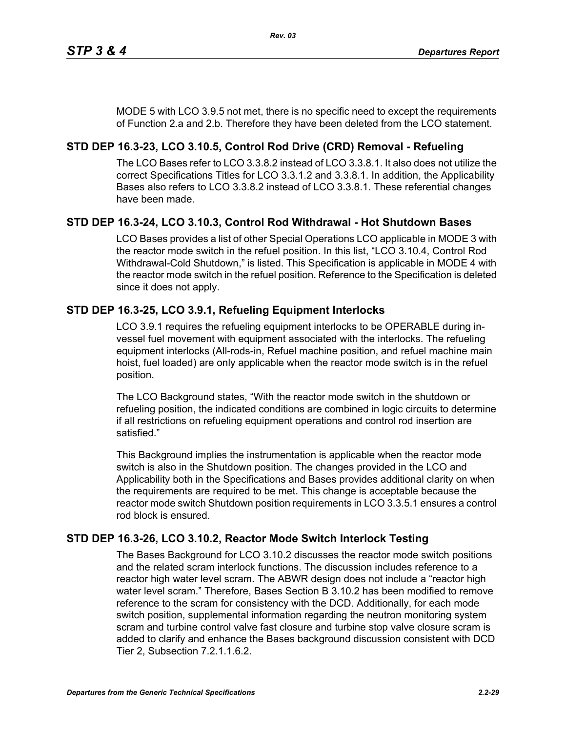MODE 5 with LCO 3.9.5 not met, there is no specific need to except the requirements of Function 2.a and 2.b. Therefore they have been deleted from the LCO statement.

# **STD DEP 16.3-23, LCO 3.10.5, Control Rod Drive (CRD) Removal - Refueling**

The LCO Bases refer to LCO 3.3.8.2 instead of LCO 3.3.8.1. It also does not utilize the correct Specifications Titles for LCO 3.3.1.2 and 3.3.8.1. In addition, the Applicability Bases also refers to LCO 3.3.8.2 instead of LCO 3.3.8.1. These referential changes have been made.

# **STD DEP 16.3-24, LCO 3.10.3, Control Rod Withdrawal - Hot Shutdown Bases**

LCO Bases provides a list of other Special Operations LCO applicable in MODE 3 with the reactor mode switch in the refuel position. In this list, "LCO 3.10.4, Control Rod Withdrawal-Cold Shutdown," is listed. This Specification is applicable in MODE 4 with the reactor mode switch in the refuel position. Reference to the Specification is deleted since it does not apply.

# **STD DEP 16.3-25, LCO 3.9.1, Refueling Equipment Interlocks**

LCO 3.9.1 requires the refueling equipment interlocks to be OPERABLE during invessel fuel movement with equipment associated with the interlocks. The refueling equipment interlocks (All-rods-in, Refuel machine position, and refuel machine main hoist, fuel loaded) are only applicable when the reactor mode switch is in the refuel position.

The LCO Background states, "With the reactor mode switch in the shutdown or refueling position, the indicated conditions are combined in logic circuits to determine if all restrictions on refueling equipment operations and control rod insertion are satisfied."

This Background implies the instrumentation is applicable when the reactor mode switch is also in the Shutdown position. The changes provided in the LCO and Applicability both in the Specifications and Bases provides additional clarity on when the requirements are required to be met. This change is acceptable because the reactor mode switch Shutdown position requirements in LCO 3.3.5.1 ensures a control rod block is ensured.

# **STD DEP 16.3-26, LCO 3.10.2, Reactor Mode Switch Interlock Testing**

The Bases Background for LCO 3.10.2 discusses the reactor mode switch positions and the related scram interlock functions. The discussion includes reference to a reactor high water level scram. The ABWR design does not include a "reactor high water level scram." Therefore, Bases Section B 3.10.2 has been modified to remove reference to the scram for consistency with the DCD. Additionally, for each mode switch position, supplemental information regarding the neutron monitoring system scram and turbine control valve fast closure and turbine stop valve closure scram is added to clarify and enhance the Bases background discussion consistent with DCD Tier 2, Subsection 7.2.1.1.6.2.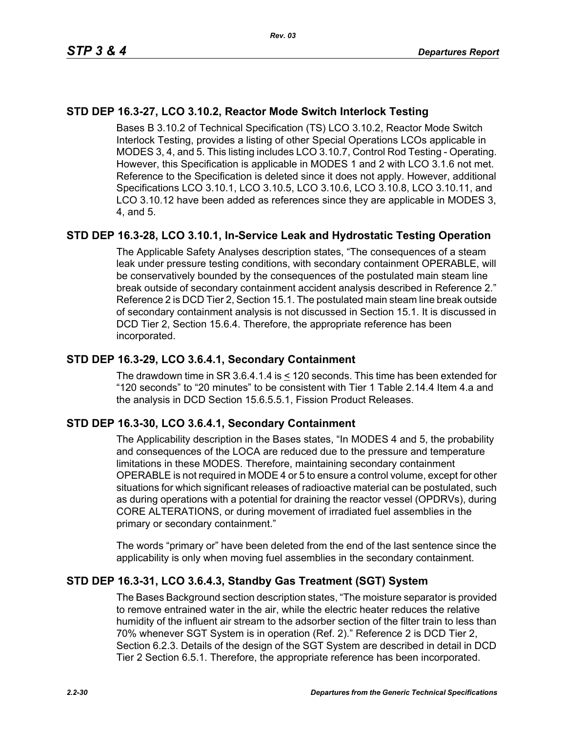# **STD DEP 16.3-27, LCO 3.10.2, Reactor Mode Switch Interlock Testing**

Bases B 3.10.2 of Technical Specification (TS) LCO 3.10.2, Reactor Mode Switch Interlock Testing, provides a listing of other Special Operations LCOs applicable in MODES 3, 4, and 5. This listing includes LCO 3.10.7, Control Rod Testing - Operating. However, this Specification is applicable in MODES 1 and 2 with LCO 3.1.6 not met. Reference to the Specification is deleted since it does not apply. However, additional Specifications LCO 3.10.1, LCO 3.10.5, LCO 3.10.6, LCO 3.10.8, LCO 3.10.11, and LCO 3.10.12 have been added as references since they are applicable in MODES 3, 4, and 5.

## **STD DEP 16.3-28, LCO 3.10.1, In-Service Leak and Hydrostatic Testing Operation**

The Applicable Safety Analyses description states, "The consequences of a steam leak under pressure testing conditions, with secondary containment OPERABLE, will be conservatively bounded by the consequences of the postulated main steam line break outside of secondary containment accident analysis described in Reference 2." Reference 2 is DCD Tier 2, Section 15.1. The postulated main steam line break outside of secondary containment analysis is not discussed in Section 15.1. It is discussed in DCD Tier 2, Section 15.6.4. Therefore, the appropriate reference has been incorporated.

#### **STD DEP 16.3-29, LCO 3.6.4.1, Secondary Containment**

The drawdown time in SR 3.6.4.1.4 is < 120 seconds. This time has been extended for "120 seconds" to "20 minutes" to be consistent with Tier 1 Table 2.14.4 Item 4.a and the analysis in DCD Section 15.6.5.5.1, Fission Product Releases.

#### **STD DEP 16.3-30, LCO 3.6.4.1, Secondary Containment**

The Applicability description in the Bases states, "In MODES 4 and 5, the probability and consequences of the LOCA are reduced due to the pressure and temperature limitations in these MODES. Therefore, maintaining secondary containment OPERABLE is not required in MODE 4 or 5 to ensure a control volume, except for other situations for which significant releases of radioactive material can be postulated, such as during operations with a potential for draining the reactor vessel (OPDRVs), during CORE ALTERATIONS, or during movement of irradiated fuel assemblies in the primary or secondary containment."

The words "primary or" have been deleted from the end of the last sentence since the applicability is only when moving fuel assemblies in the secondary containment.

## **STD DEP 16.3-31, LCO 3.6.4.3, Standby Gas Treatment (SGT) System**

The Bases Background section description states, "The moisture separator is provided to remove entrained water in the air, while the electric heater reduces the relative humidity of the influent air stream to the adsorber section of the filter train to less than 70% whenever SGT System is in operation (Ref. 2)." Reference 2 is DCD Tier 2, Section 6.2.3. Details of the design of the SGT System are described in detail in DCD Tier 2 Section 6.5.1. Therefore, the appropriate reference has been incorporated.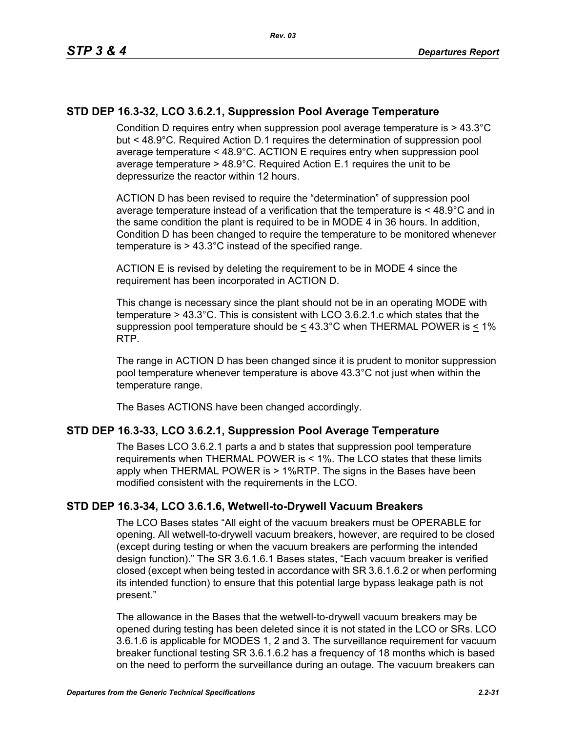## **STD DEP 16.3-32, LCO 3.6.2.1, Suppression Pool Average Temperature**

Condition D requires entry when suppression pool average temperature is > 43.3°C but < 48.9°C. Required Action D.1 requires the determination of suppression pool average temperature < 48.9°C. ACTION E requires entry when suppression pool average temperature > 48.9°C. Required Action E.1 requires the unit to be depressurize the reactor within 12 hours.

ACTION D has been revised to require the "determination" of suppression pool average temperature instead of a verification that the temperature is  $\leq 48.9^{\circ}$ C and in the same condition the plant is required to be in MODE 4 in 36 hours. In addition, Condition D has been changed to require the temperature to be monitored whenever temperature is > 43.3°C instead of the specified range.

ACTION E is revised by deleting the requirement to be in MODE 4 since the requirement has been incorporated in ACTION D.

This change is necessary since the plant should not be in an operating MODE with temperature > 43.3°C. This is consistent with LCO 3.6.2.1.c which states that the suppression pool temperature should be  $\leq 43.3^{\circ}$ C when THERMAL POWER is < 1% RTP.

The range in ACTION D has been changed since it is prudent to monitor suppression pool temperature whenever temperature is above 43.3°C not just when within the temperature range.

The Bases ACTIONS have been changed accordingly.

#### **STD DEP 16.3-33, LCO 3.6.2.1, Suppression Pool Average Temperature**

The Bases LCO 3.6.2.1 parts a and b states that suppression pool temperature requirements when THERMAL POWER is < 1%. The LCO states that these limits apply when THERMAL POWER is > 1%RTP. The signs in the Bases have been modified consistent with the requirements in the LCO.

#### **STD DEP 16.3-34, LCO 3.6.1.6, Wetwell-to-Drywell Vacuum Breakers**

The LCO Bases states "All eight of the vacuum breakers must be OPERABLE for opening. All wetwell-to-drywell vacuum breakers, however, are required to be closed (except during testing or when the vacuum breakers are performing the intended design function)." The SR 3.6.1.6.1 Bases states, "Each vacuum breaker is verified closed (except when being tested in accordance with SR 3.6.1.6.2 or when performing its intended function) to ensure that this potential large bypass leakage path is not present."

The allowance in the Bases that the wetwell-to-drywell vacuum breakers may be opened during testing has been deleted since it is not stated in the LCO or SRs. LCO 3.6.1.6 is applicable for MODES 1, 2 and 3. The surveillance requirement for vacuum breaker functional testing SR 3.6.1.6.2 has a frequency of 18 months which is based on the need to perform the surveillance during an outage. The vacuum breakers can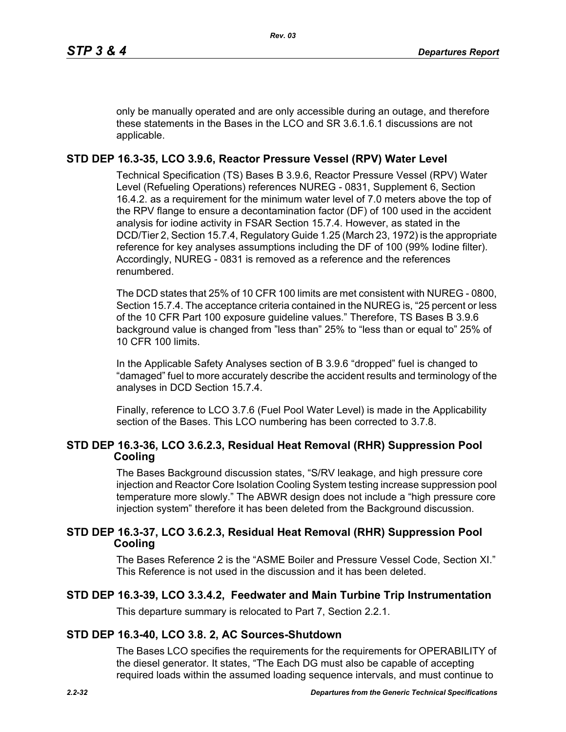only be manually operated and are only accessible during an outage, and therefore these statements in the Bases in the LCO and SR 3.6.1.6.1 discussions are not applicable.

# **STD DEP 16.3-35, LCO 3.9.6, Reactor Pressure Vessel (RPV) Water Level**

Technical Specification (TS) Bases B 3.9.6, Reactor Pressure Vessel (RPV) Water Level (Refueling Operations) references NUREG - 0831, Supplement 6, Section 16.4.2. as a requirement for the minimum water level of 7.0 meters above the top of the RPV flange to ensure a decontamination factor (DF) of 100 used in the accident analysis for iodine activity in FSAR Section 15.7.4. However, as stated in the DCD/Tier 2, Section 15.7.4, Regulatory Guide 1.25 (March 23, 1972) is the appropriate reference for key analyses assumptions including the DF of 100 (99% Iodine filter). Accordingly, NUREG - 0831 is removed as a reference and the references renumbered.

The DCD states that 25% of 10 CFR 100 limits are met consistent with NUREG - 0800, Section 15.7.4. The acceptance criteria contained in the NUREG is, "25 percent or less of the 10 CFR Part 100 exposure guideline values." Therefore, TS Bases B 3.9.6 background value is changed from "less than" 25% to "less than or equal to" 25% of 10 CFR 100 limits.

In the Applicable Safety Analyses section of B 3.9.6 "dropped" fuel is changed to "damaged" fuel to more accurately describe the accident results and terminology of the analyses in DCD Section 15.7.4.

Finally, reference to LCO 3.7.6 (Fuel Pool Water Level) is made in the Applicability section of the Bases. This LCO numbering has been corrected to 3.7.8.

## **STD DEP 16.3-36, LCO 3.6.2.3, Residual Heat Removal (RHR) Suppression Pool Cooling**

The Bases Background discussion states, "S/RV leakage, and high pressure core injection and Reactor Core Isolation Cooling System testing increase suppression pool temperature more slowly." The ABWR design does not include a "high pressure core injection system" therefore it has been deleted from the Background discussion.

## **STD DEP 16.3-37, LCO 3.6.2.3, Residual Heat Removal (RHR) Suppression Pool Cooling**

The Bases Reference 2 is the "ASME Boiler and Pressure Vessel Code, Section XI." This Reference is not used in the discussion and it has been deleted.

## **STD DEP 16.3-39, LCO 3.3.4.2, Feedwater and Main Turbine Trip Instrumentation**

This departure summary is relocated to Part 7, Section 2.2.1.

## **STD DEP 16.3-40, LCO 3.8. 2, AC Sources-Shutdown**

The Bases LCO specifies the requirements for the requirements for OPERABILITY of the diesel generator. It states, "The Each DG must also be capable of accepting required loads within the assumed loading sequence intervals, and must continue to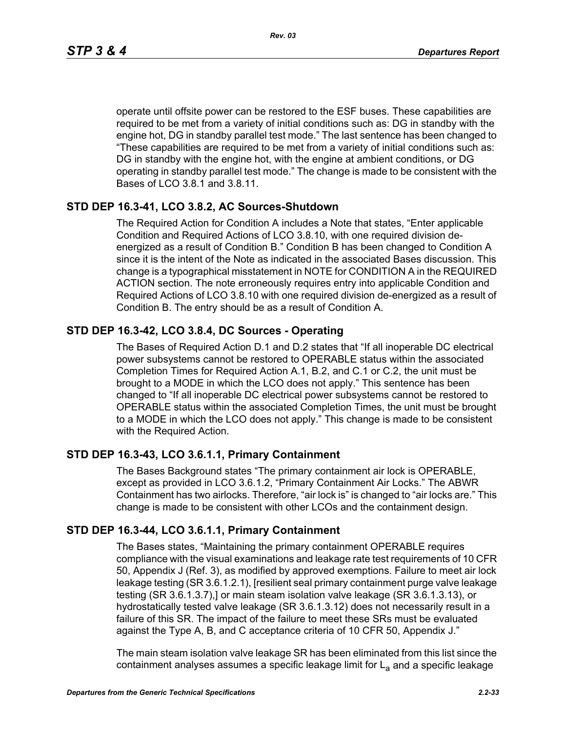operate until offsite power can be restored to the ESF buses. These capabilities are required to be met from a variety of initial conditions such as: DG in standby with the engine hot, DG in standby parallel test mode." The last sentence has been changed to "These capabilities are required to be met from a variety of initial conditions such as: DG in standby with the engine hot, with the engine at ambient conditions, or DG operating in standby parallel test mode." The change is made to be consistent with the Bases of LCO 3.8.1 and 3.8.11.

#### **STD DEP 16.3-41, LCO 3.8.2, AC Sources-Shutdown**

The Required Action for Condition A includes a Note that states, "Enter applicable Condition and Required Actions of LCO 3.8.10, with one required division deenergized as a result of Condition B." Condition B has been changed to Condition A since it is the intent of the Note as indicated in the associated Bases discussion. This change is a typographical misstatement in NOTE for CONDITION A in the REQUIRED ACTION section. The note erroneously requires entry into applicable Condition and Required Actions of LCO 3.8.10 with one required division de-energized as a result of Condition B. The entry should be as a result of Condition A.

## **STD DEP 16.3-42, LCO 3.8.4, DC Sources - Operating**

The Bases of Required Action D.1 and D.2 states that "If all inoperable DC electrical power subsystems cannot be restored to OPERABLE status within the associated Completion Times for Required Action A.1, B.2, and C.1 or C.2, the unit must be brought to a MODE in which the LCO does not apply." This sentence has been changed to "If all inoperable DC electrical power subsystems cannot be restored to OPERABLE status within the associated Completion Times, the unit must be brought to a MODE in which the LCO does not apply." This change is made to be consistent with the Required Action.

#### **STD DEP 16.3-43, LCO 3.6.1.1, Primary Containment**

The Bases Background states "The primary containment air lock is OPERABLE, except as provided in LCO 3.6.1.2, "Primary Containment Air Locks." The ABWR Containment has two airlocks. Therefore, "air lock is" is changed to "air locks are." This change is made to be consistent with other LCOs and the containment design.

#### **STD DEP 16.3-44, LCO 3.6.1.1, Primary Containment**

The Bases states, "Maintaining the primary containment OPERABLE requires compliance with the visual examinations and leakage rate test requirements of 10 CFR 50, Appendix J (Ref. 3), as modified by approved exemptions. Failure to meet air lock leakage testing (SR 3.6.1.2.1), [resilient seal primary containment purge valve leakage testing (SR 3.6.1.3.7),] or main steam isolation valve leakage (SR 3.6.1.3.13), or hydrostatically tested valve leakage (SR 3.6.1.3.12) does not necessarily result in a failure of this SR. The impact of the failure to meet these SRs must be evaluated against the Type A, B, and C acceptance criteria of 10 CFR 50, Appendix J."

The main steam isolation valve leakage SR has been eliminated from this list since the containment analyses assumes a specific leakage limit for  $L<sub>a</sub>$  and a specific leakage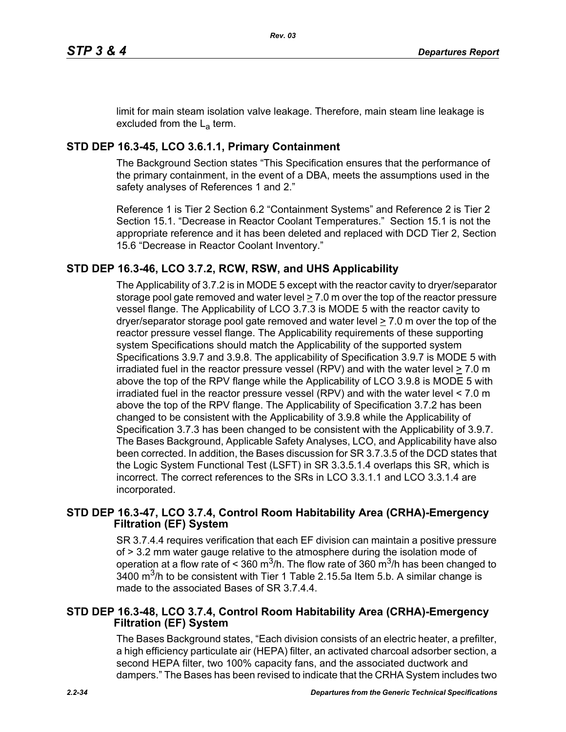limit for main steam isolation valve leakage. Therefore, main steam line leakage is excluded from the  $L_a$  term.

# **STD DEP 16.3-45, LCO 3.6.1.1, Primary Containment**

The Background Section states "This Specification ensures that the performance of the primary containment, in the event of a DBA, meets the assumptions used in the safety analyses of References 1 and 2."

Reference 1 is Tier 2 Section 6.2 "Containment Systems" and Reference 2 is Tier 2 Section 15.1. "Decrease in Reactor Coolant Temperatures." Section 15.1 is not the appropriate reference and it has been deleted and replaced with DCD Tier 2, Section 15.6 "Decrease in Reactor Coolant Inventory."

# **STD DEP 16.3-46, LCO 3.7.2, RCW, RSW, and UHS Applicability**

The Applicability of 3.7.2 is in MODE 5 except with the reactor cavity to dryer/separator storage pool gate removed and water level  $\geq 7.0$  m over the top of the reactor pressure vessel flange. The Applicability of LCO 3.7.3 is MODE 5 with the reactor cavity to dryer/separator storage pool gate removed and water level > 7.0 m over the top of the reactor pressure vessel flange. The Applicability requirements of these supporting system Specifications should match the Applicability of the supported system Specifications 3.9.7 and 3.9.8. The applicability of Specification 3.9.7 is MODE 5 with irradiated fuel in the reactor pressure vessel (RPV) and with the water level  $\geq 7.0$  m above the top of the RPV flange while the Applicability of LCO 3.9.8 is MODE 5 with irradiated fuel in the reactor pressure vessel (RPV) and with the water level < 7.0 m above the top of the RPV flange. The Applicability of Specification 3.7.2 has been changed to be consistent with the Applicability of 3.9.8 while the Applicability of Specification 3.7.3 has been changed to be consistent with the Applicability of 3.9.7. The Bases Background, Applicable Safety Analyses, LCO, and Applicability have also been corrected. In addition, the Bases discussion for SR 3.7.3.5 of the DCD states that the Logic System Functional Test (LSFT) in SR 3.3.5.1.4 overlaps this SR, which is incorrect. The correct references to the SRs in LCO 3.3.1.1 and LCO 3.3.1.4 are incorporated.

## **STD DEP 16.3-47, LCO 3.7.4, Control Room Habitability Area (CRHA)-Emergency Filtration (EF) System**

SR 3.7.4.4 requires verification that each EF division can maintain a positive pressure of > 3.2 mm water gauge relative to the atmosphere during the isolation mode of operation at a flow rate of < 360 m<sup>3</sup>/h. The flow rate of 360 m<sup>3</sup>/h has been changed to  $3400$  m<sup>3</sup>/h to be consistent with Tier 1 Table 2.15.5a Item 5.b. A similar change is made to the associated Bases of SR 3.7.4.4.

## **STD DEP 16.3-48, LCO 3.7.4, Control Room Habitability Area (CRHA)-Emergency Filtration (EF) System**

The Bases Background states, "Each division consists of an electric heater, a prefilter, a high efficiency particulate air (HEPA) filter, an activated charcoal adsorber section, a second HEPA filter, two 100% capacity fans, and the associated ductwork and dampers." The Bases has been revised to indicate that the CRHA System includes two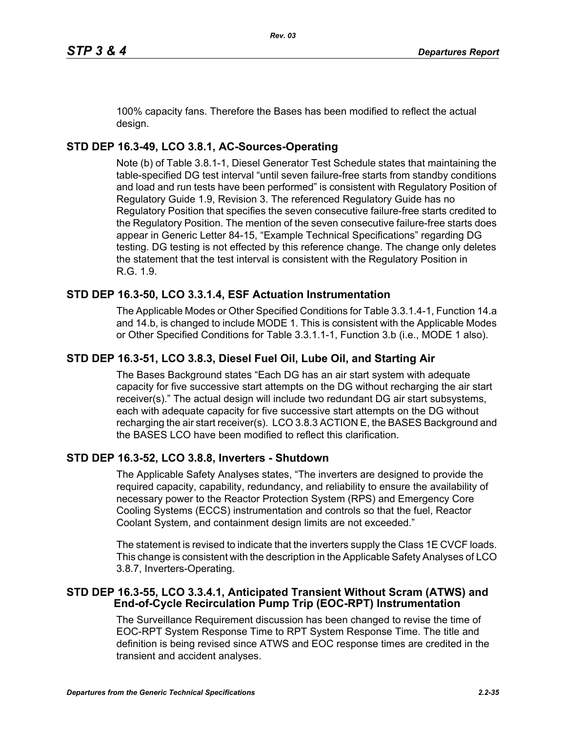100% capacity fans. Therefore the Bases has been modified to reflect the actual design.

# **STD DEP 16.3-49, LCO 3.8.1, AC-Sources-Operating**

Note (b) of Table 3.8.1-1, Diesel Generator Test Schedule states that maintaining the table-specified DG test interval "until seven failure-free starts from standby conditions and load and run tests have been performed" is consistent with Regulatory Position of Regulatory Guide 1.9, Revision 3. The referenced Regulatory Guide has no Regulatory Position that specifies the seven consecutive failure-free starts credited to the Regulatory Position. The mention of the seven consecutive failure-free starts does appear in Generic Letter 84-15, "Example Technical Specifications" regarding DG testing. DG testing is not effected by this reference change. The change only deletes the statement that the test interval is consistent with the Regulatory Position in R.G. 1.9.

# **STD DEP 16.3-50, LCO 3.3.1.4, ESF Actuation Instrumentation**

The Applicable Modes or Other Specified Conditions for Table 3.3.1.4-1, Function 14.a and 14.b, is changed to include MODE 1. This is consistent with the Applicable Modes or Other Specified Conditions for Table 3.3.1.1-1, Function 3.b (i.e., MODE 1 also).

# **STD DEP 16.3-51, LCO 3.8.3, Diesel Fuel Oil, Lube Oil, and Starting Air**

The Bases Background states "Each DG has an air start system with adequate capacity for five successive start attempts on the DG without recharging the air start receiver(s)." The actual design will include two redundant DG air start subsystems, each with adequate capacity for five successive start attempts on the DG without recharging the air start receiver(s). LCO 3.8.3 ACTION E, the BASES Background and the BASES LCO have been modified to reflect this clarification.

# **STD DEP 16.3-52, LCO 3.8.8, Inverters - Shutdown**

The Applicable Safety Analyses states, "The inverters are designed to provide the required capacity, capability, redundancy, and reliability to ensure the availability of necessary power to the Reactor Protection System (RPS) and Emergency Core Cooling Systems (ECCS) instrumentation and controls so that the fuel, Reactor Coolant System, and containment design limits are not exceeded."

The statement is revised to indicate that the inverters supply the Class 1E CVCF loads. This change is consistent with the description in the Applicable Safety Analyses of LCO 3.8.7, Inverters-Operating.

## **STD DEP 16.3-55, LCO 3.3.4.1, Anticipated Transient Without Scram (ATWS) and End-of-Cycle Recirculation Pump Trip (EOC-RPT) Instrumentation**

The Surveillance Requirement discussion has been changed to revise the time of EOC-RPT System Response Time to RPT System Response Time. The title and definition is being revised since ATWS and EOC response times are credited in the transient and accident analyses.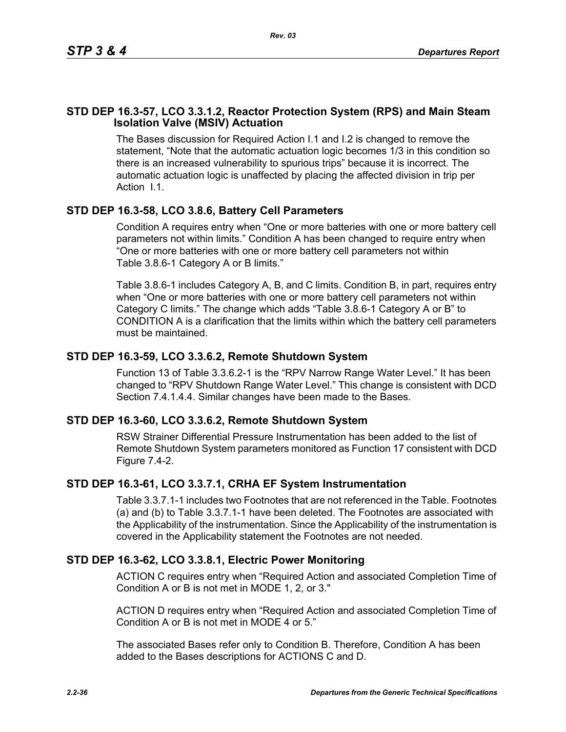## **STD DEP 16.3-57, LCO 3.3.1.2, Reactor Protection System (RPS) and Main Steam Isolation Valve (MSIV) Actuation**

The Bases discussion for Required Action I.1 and I.2 is changed to remove the statement, "Note that the automatic actuation logic becomes 1/3 in this condition so there is an increased vulnerability to spurious trips" because it is incorrect. The automatic actuation logic is unaffected by placing the affected division in trip per Action I.1.

## **STD DEP 16.3-58, LCO 3.8.6, Battery Cell Parameters**

Condition A requires entry when "One or more batteries with one or more battery cell parameters not within limits." Condition A has been changed to require entry when "One or more batteries with one or more battery cell parameters not within Table 3.8.6-1 Category A or B limits."

Table 3.8.6-1 includes Category A, B, and C limits. Condition B, in part, requires entry when "One or more batteries with one or more battery cell parameters not within Category C limits." The change which adds "Table 3.8.6-1 Category A or B" to CONDITION A is a clarification that the limits within which the battery cell parameters must be maintained.

#### **STD DEP 16.3-59, LCO 3.3.6.2, Remote Shutdown System**

Function 13 of Table 3.3.6.2-1 is the "RPV Narrow Range Water Level." It has been changed to "RPV Shutdown Range Water Level." This change is consistent with DCD Section 7.4.1.4.4. Similar changes have been made to the Bases.

#### **STD DEP 16.3-60, LCO 3.3.6.2, Remote Shutdown System**

RSW Strainer Differential Pressure Instrumentation has been added to the list of Remote Shutdown System parameters monitored as Function 17 consistent with DCD Figure 7.4-2.

#### **STD DEP 16.3-61, LCO 3.3.7.1, CRHA EF System Instrumentation**

Table 3.3.7.1-1 includes two Footnotes that are not referenced in the Table. Footnotes (a) and (b) to Table 3.3.7.1-1 have been deleted. The Footnotes are associated with the Applicability of the instrumentation. Since the Applicability of the instrumentation is covered in the Applicability statement the Footnotes are not needed.

#### **STD DEP 16.3-62, LCO 3.3.8.1, Electric Power Monitoring**

ACTION C requires entry when "Required Action and associated Completion Time of Condition A or B is not met in MODE 1, 2, or 3."

ACTION D requires entry when "Required Action and associated Completion Time of Condition A or B is not met in MODE 4 or 5."

The associated Bases refer only to Condition B. Therefore, Condition A has been added to the Bases descriptions for ACTIONS C and D.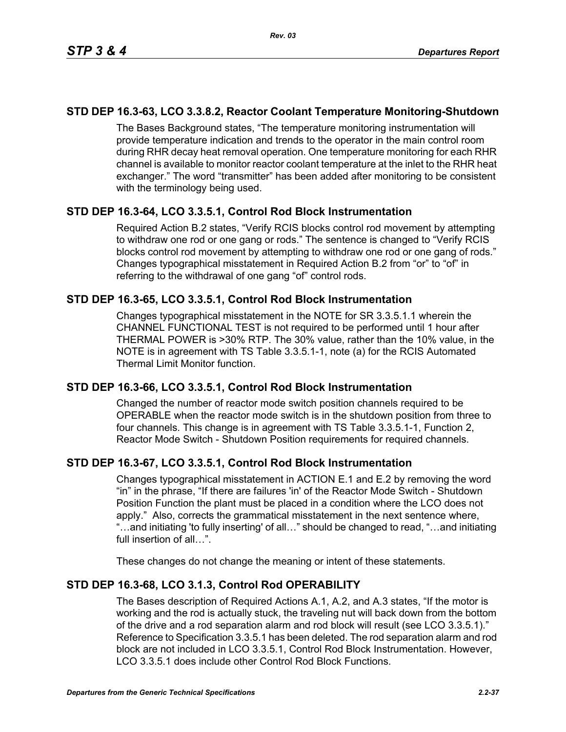## **STD DEP 16.3-63, LCO 3.3.8.2, Reactor Coolant Temperature Monitoring-Shutdown**

The Bases Background states, "The temperature monitoring instrumentation will provide temperature indication and trends to the operator in the main control room during RHR decay heat removal operation. One temperature monitoring for each RHR channel is available to monitor reactor coolant temperature at the inlet to the RHR heat exchanger." The word "transmitter" has been added after monitoring to be consistent with the terminology being used.

## **STD DEP 16.3-64, LCO 3.3.5.1, Control Rod Block Instrumentation**

Required Action B.2 states, "Verify RCIS blocks control rod movement by attempting to withdraw one rod or one gang or rods." The sentence is changed to "Verify RCIS blocks control rod movement by attempting to withdraw one rod or one gang of rods." Changes typographical misstatement in Required Action B.2 from "or" to "of" in referring to the withdrawal of one gang "of" control rods.

## **STD DEP 16.3-65, LCO 3.3.5.1, Control Rod Block Instrumentation**

Changes typographical misstatement in the NOTE for SR 3.3.5.1.1 wherein the CHANNEL FUNCTIONAL TEST is not required to be performed until 1 hour after THERMAL POWER is >30% RTP. The 30% value, rather than the 10% value, in the NOTE is in agreement with TS Table 3.3.5.1-1, note (a) for the RCIS Automated Thermal Limit Monitor function.

#### **STD DEP 16.3-66, LCO 3.3.5.1, Control Rod Block Instrumentation**

Changed the number of reactor mode switch position channels required to be OPERABLE when the reactor mode switch is in the shutdown position from three to four channels. This change is in agreement with TS Table 3.3.5.1-1, Function 2, Reactor Mode Switch - Shutdown Position requirements for required channels.

## **STD DEP 16.3-67, LCO 3.3.5.1, Control Rod Block Instrumentation**

Changes typographical misstatement in ACTION E.1 and E.2 by removing the word "in" in the phrase, "If there are failures 'in' of the Reactor Mode Switch - Shutdown Position Function the plant must be placed in a condition where the LCO does not apply." Also, corrects the grammatical misstatement in the next sentence where, "…and initiating 'to fully inserting' of all…" should be changed to read, "…and initiating full insertion of all…".

These changes do not change the meaning or intent of these statements.

## **STD DEP 16.3-68, LCO 3.1.3, Control Rod OPERABILITY**

The Bases description of Required Actions A.1, A.2, and A.3 states, "If the motor is working and the rod is actually stuck, the traveling nut will back down from the bottom of the drive and a rod separation alarm and rod block will result (see LCO 3.3.5.1)." Reference to Specification 3.3.5.1 has been deleted. The rod separation alarm and rod block are not included in LCO 3.3.5.1, Control Rod Block Instrumentation. However, LCO 3.3.5.1 does include other Control Rod Block Functions.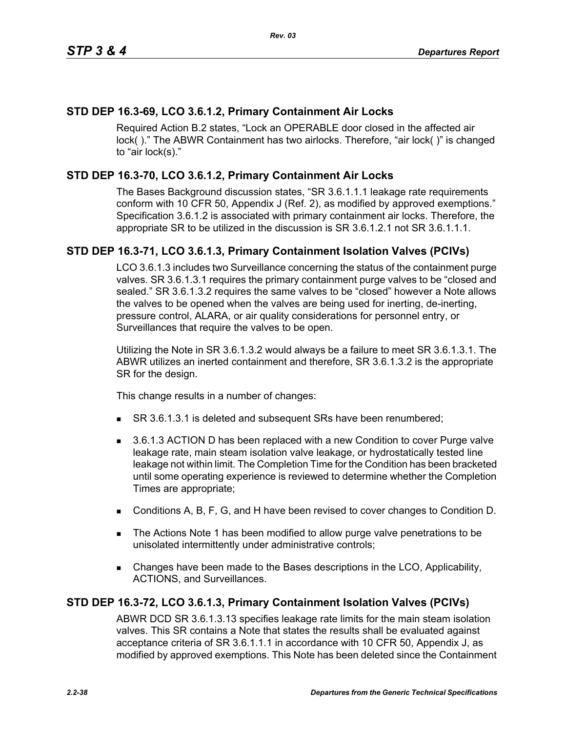# **STD DEP 16.3-69, LCO 3.6.1.2, Primary Containment Air Locks**

Required Action B.2 states, "Lock an OPERABLE door closed in the affected air lock( )." The ABWR Containment has two airlocks. Therefore, "air lock( )" is changed to "air lock(s)."

# **STD DEP 16.3-70, LCO 3.6.1.2, Primary Containment Air Locks**

The Bases Background discussion states, "SR 3.6.1.1.1 leakage rate requirements conform with 10 CFR 50, Appendix J (Ref. 2), as modified by approved exemptions." Specification 3.6.1.2 is associated with primary containment air locks. Therefore, the appropriate SR to be utilized in the discussion is SR 3.6.1.2.1 not SR 3.6.1.1.1.

## **STD DEP 16.3-71, LCO 3.6.1.3, Primary Containment Isolation Valves (PCIVs)**

LCO 3.6.1.3 includes two Surveillance concerning the status of the containment purge valves. SR 3.6.1.3.1 requires the primary containment purge valves to be "closed and sealed." SR 3.6.1.3.2 requires the same valves to be "closed" however a Note allows the valves to be opened when the valves are being used for inerting, de-inerting, pressure control, ALARA, or air quality considerations for personnel entry, or Surveillances that require the valves to be open.

Utilizing the Note in SR 3.6.1.3.2 would always be a failure to meet SR 3.6.1.3.1. The ABWR utilizes an inerted containment and therefore, SR 3.6.1.3.2 is the appropriate SR for the design.

This change results in a number of changes:

- SR 3.6.1.3.1 is deleted and subsequent SRs have been renumbered;
- 3.6.1.3 ACTION D has been replaced with a new Condition to cover Purge valve leakage rate, main steam isolation valve leakage, or hydrostatically tested line leakage not within limit. The Completion Time for the Condition has been bracketed until some operating experience is reviewed to determine whether the Completion Times are appropriate;
- Conditions A, B, F, G, and H have been revised to cover changes to Condition D.
- The Actions Note 1 has been modified to allow purge valve penetrations to be unisolated intermittently under administrative controls;
- Changes have been made to the Bases descriptions in the LCO, Applicability, ACTIONS, and Surveillances.

## **STD DEP 16.3-72, LCO 3.6.1.3, Primary Containment Isolation Valves (PCIVs)**

ABWR DCD SR 3.6.1.3.13 specifies leakage rate limits for the main steam isolation valves. This SR contains a Note that states the results shall be evaluated against acceptance criteria of SR 3.6.1.1.1 in accordance with 10 CFR 50, Appendix J, as modified by approved exemptions. This Note has been deleted since the Containment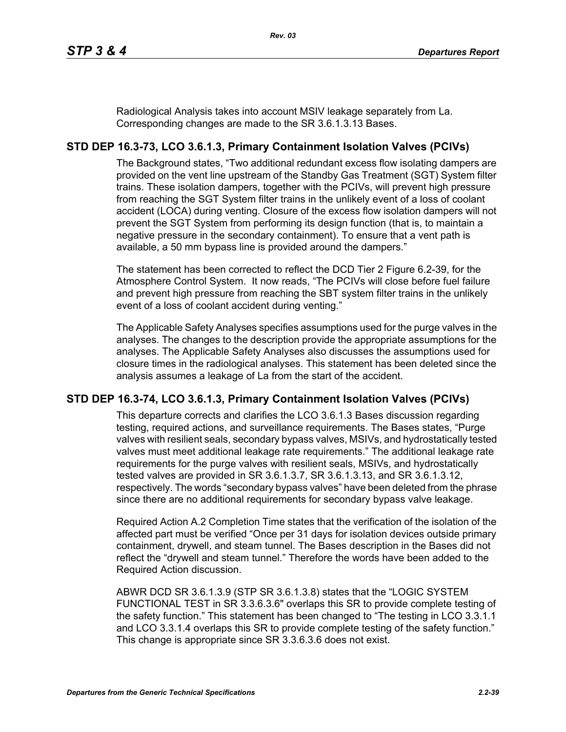Radiological Analysis takes into account MSIV leakage separately from La. Corresponding changes are made to the SR 3.6.1.3.13 Bases.

# **STD DEP 16.3-73, LCO 3.6.1.3, Primary Containment Isolation Valves (PCIVs)**

The Background states, "Two additional redundant excess flow isolating dampers are provided on the vent line upstream of the Standby Gas Treatment (SGT) System filter trains. These isolation dampers, together with the PCIVs, will prevent high pressure from reaching the SGT System filter trains in the unlikely event of a loss of coolant accident (LOCA) during venting. Closure of the excess flow isolation dampers will not prevent the SGT System from performing its design function (that is, to maintain a negative pressure in the secondary containment). To ensure that a vent path is available, a 50 mm bypass line is provided around the dampers."

The statement has been corrected to reflect the DCD Tier 2 Figure 6.2-39, for the Atmosphere Control System. It now reads, "The PCIVs will close before fuel failure and prevent high pressure from reaching the SBT system filter trains in the unlikely event of a loss of coolant accident during venting."

The Applicable Safety Analyses specifies assumptions used for the purge valves in the analyses. The changes to the description provide the appropriate assumptions for the analyses. The Applicable Safety Analyses also discusses the assumptions used for closure times in the radiological analyses. This statement has been deleted since the analysis assumes a leakage of La from the start of the accident.

## **STD DEP 16.3-74, LCO 3.6.1.3, Primary Containment Isolation Valves (PCIVs)**

This departure corrects and clarifies the LCO 3.6.1.3 Bases discussion regarding testing, required actions, and surveillance requirements. The Bases states, "Purge valves with resilient seals, secondary bypass valves, MSIVs, and hydrostatically tested valves must meet additional leakage rate requirements." The additional leakage rate requirements for the purge valves with resilient seals, MSIVs, and hydrostatically tested valves are provided in SR 3.6.1.3.7, SR 3.6.1.3.13, and SR 3.6.1.3.12, respectively. The words "secondary bypass valves" have been deleted from the phrase since there are no additional requirements for secondary bypass valve leakage.

Required Action A.2 Completion Time states that the verification of the isolation of the affected part must be verified "Once per 31 days for isolation devices outside primary containment, drywell, and steam tunnel. The Bases description in the Bases did not reflect the "drywell and steam tunnel." Therefore the words have been added to the Required Action discussion.

ABWR DCD SR 3.6.1.3.9 (STP SR 3.6.1.3.8) states that the "LOGIC SYSTEM FUNCTIONAL TEST in SR 3.3.6.3.6" overlaps this SR to provide complete testing of the safety function." This statement has been changed to "The testing in LCO 3.3.1.1 and LCO 3.3.1.4 overlaps this SR to provide complete testing of the safety function." This change is appropriate since SR 3.3.6.3.6 does not exist.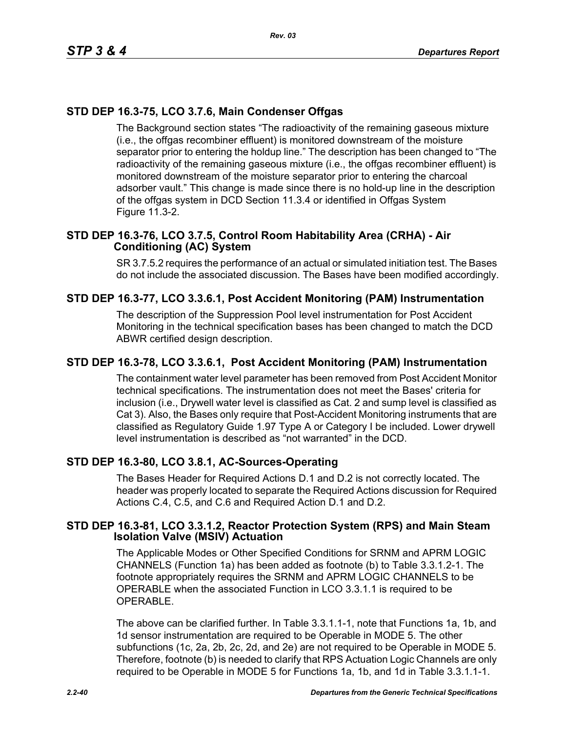# **STD DEP 16.3-75, LCO 3.7.6, Main Condenser Offgas**

The Background section states "The radioactivity of the remaining gaseous mixture (i.e., the offgas recombiner effluent) is monitored downstream of the moisture separator prior to entering the holdup line." The description has been changed to "The radioactivity of the remaining gaseous mixture (i.e., the offgas recombiner effluent) is monitored downstream of the moisture separator prior to entering the charcoal adsorber vault." This change is made since there is no hold-up line in the description of the offgas system in DCD Section 11.3.4 or identified in Offgas System Figure 11.3-2.

## **STD DEP 16.3-76, LCO 3.7.5, Control Room Habitability Area (CRHA) - Air Conditioning (AC) System**

SR 3.7.5.2 requires the performance of an actual or simulated initiation test. The Bases do not include the associated discussion. The Bases have been modified accordingly.

## **STD DEP 16.3-77, LCO 3.3.6.1, Post Accident Monitoring (PAM) Instrumentation**

The description of the Suppression Pool level instrumentation for Post Accident Monitoring in the technical specification bases has been changed to match the DCD ABWR certified design description.

#### **STD DEP 16.3-78, LCO 3.3.6.1, Post Accident Monitoring (PAM) Instrumentation**

The containment water level parameter has been removed from Post Accident Monitor technical specifications. The instrumentation does not meet the Bases' criteria for inclusion (i.e., Drywell water level is classified as Cat. 2 and sump level is classified as Cat 3). Also, the Bases only require that Post-Accident Monitoring instruments that are classified as Regulatory Guide 1.97 Type A or Category I be included. Lower drywell level instrumentation is described as "not warranted" in the DCD.

#### **STD DEP 16.3-80, LCO 3.8.1, AC-Sources-Operating**

The Bases Header for Required Actions D.1 and D.2 is not correctly located. The header was properly located to separate the Required Actions discussion for Required Actions C.4, C.5, and C.6 and Required Action D.1 and D.2.

#### **STD DEP 16.3-81, LCO 3.3.1.2, Reactor Protection System (RPS) and Main Steam Isolation Valve (MSIV) Actuation**

The Applicable Modes or Other Specified Conditions for SRNM and APRM LOGIC CHANNELS (Function 1a) has been added as footnote (b) to Table 3.3.1.2-1. The footnote appropriately requires the SRNM and APRM LOGIC CHANNELS to be OPERABLE when the associated Function in LCO 3.3.1.1 is required to be OPERABLE.

The above can be clarified further. In Table 3.3.1.1-1, note that Functions 1a, 1b, and 1d sensor instrumentation are required to be Operable in MODE 5. The other subfunctions (1c, 2a, 2b, 2c, 2d, and 2e) are not required to be Operable in MODE 5. Therefore, footnote (b) is needed to clarify that RPS Actuation Logic Channels are only required to be Operable in MODE 5 for Functions 1a, 1b, and 1d in Table 3.3.1.1-1.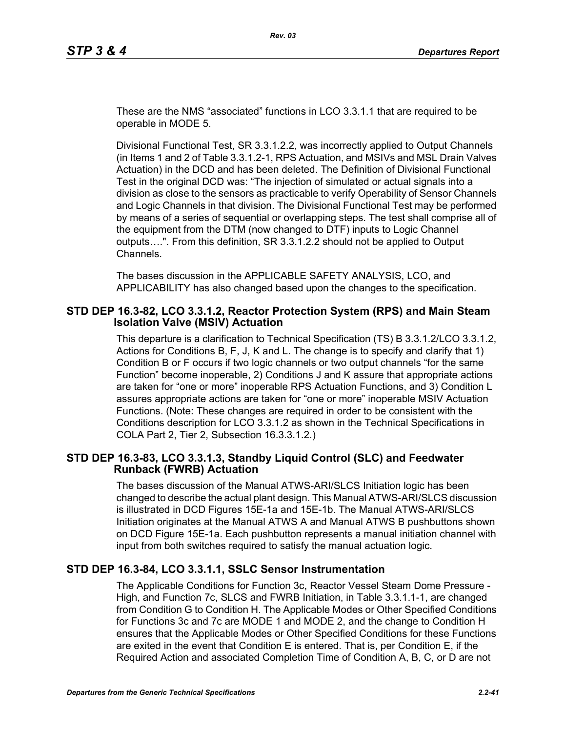These are the NMS "associated" functions in LCO 3.3.1.1 that are required to be operable in MODE 5.

Divisional Functional Test, SR 3.3.1.2.2, was incorrectly applied to Output Channels (in Items 1 and 2 of Table 3.3.1.2-1, RPS Actuation, and MSIVs and MSL Drain Valves Actuation) in the DCD and has been deleted. The Definition of Divisional Functional Test in the original DCD was: "The injection of simulated or actual signals into a division as close to the sensors as practicable to verify Operability of Sensor Channels and Logic Channels in that division. The Divisional Functional Test may be performed by means of a series of sequential or overlapping steps. The test shall comprise all of the equipment from the DTM (now changed to DTF) inputs to Logic Channel outputs….". From this definition, SR 3.3.1.2.2 should not be applied to Output Channels.

The bases discussion in the APPLICABLE SAFETY ANALYSIS, LCO, and APPLICABILITY has also changed based upon the changes to the specification.

#### **STD DEP 16.3-82, LCO 3.3.1.2, Reactor Protection System (RPS) and Main Steam Isolation Valve (MSIV) Actuation**

This departure is a clarification to Technical Specification (TS) B 3.3.1.2/LCO 3.3.1.2, Actions for Conditions B, F, J, K and L. The change is to specify and clarify that 1) Condition B or F occurs if two logic channels or two output channels "for the same Function" become inoperable, 2) Conditions J and K assure that appropriate actions are taken for "one or more" inoperable RPS Actuation Functions, and 3) Condition L assures appropriate actions are taken for "one or more" inoperable MSIV Actuation Functions. (Note: These changes are required in order to be consistent with the Conditions description for LCO 3.3.1.2 as shown in the Technical Specifications in COLA Part 2, Tier 2, Subsection 16.3.3.1.2.)

#### **STD DEP 16.3-83, LCO 3.3.1.3, Standby Liquid Control (SLC) and Feedwater Runback (FWRB) Actuation**

The bases discussion of the Manual ATWS-ARI/SLCS Initiation logic has been changed to describe the actual plant design. This Manual ATWS-ARI/SLCS discussion is illustrated in DCD Figures 15E-1a and 15E-1b. The Manual ATWS-ARI/SLCS Initiation originates at the Manual ATWS A and Manual ATWS B pushbuttons shown on DCD Figure 15E-1a. Each pushbutton represents a manual initiation channel with input from both switches required to satisfy the manual actuation logic.

## **STD DEP 16.3-84, LCO 3.3.1.1, SSLC Sensor Instrumentation**

The Applicable Conditions for Function 3c, Reactor Vessel Steam Dome Pressure - High, and Function 7c, SLCS and FWRB Initiation, in Table 3.3.1.1-1, are changed from Condition G to Condition H. The Applicable Modes or Other Specified Conditions for Functions 3c and 7c are MODE 1 and MODE 2, and the change to Condition H ensures that the Applicable Modes or Other Specified Conditions for these Functions are exited in the event that Condition E is entered. That is, per Condition E, if the Required Action and associated Completion Time of Condition A, B, C, or D are not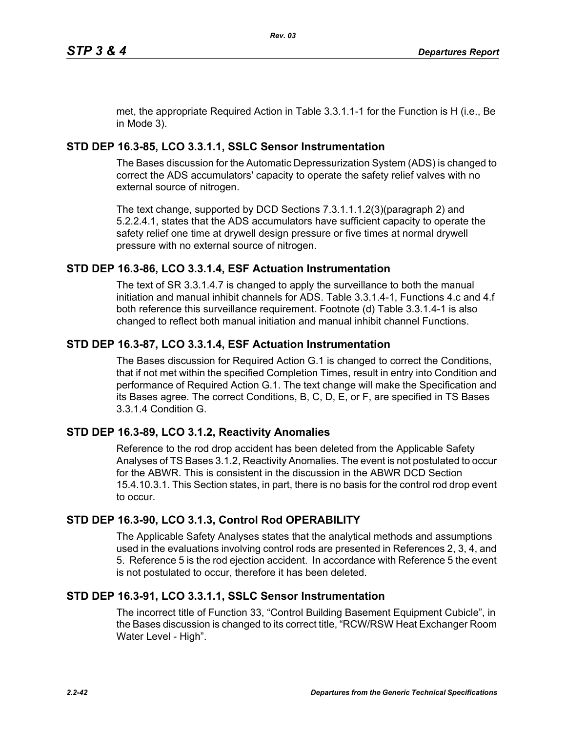met, the appropriate Required Action in Table 3.3.1.1-1 for the Function is H (i.e., Be in Mode 3).

# **STD DEP 16.3-85, LCO 3.3.1.1, SSLC Sensor Instrumentation**

The Bases discussion for the Automatic Depressurization System (ADS) is changed to correct the ADS accumulators' capacity to operate the safety relief valves with no external source of nitrogen.

The text change, supported by DCD Sections 7.3.1.1.1.2(3)(paragraph 2) and 5.2.2.4.1, states that the ADS accumulators have sufficient capacity to operate the safety relief one time at drywell design pressure or five times at normal drywell pressure with no external source of nitrogen.

# **STD DEP 16.3-86, LCO 3.3.1.4, ESF Actuation Instrumentation**

The text of SR 3.3.1.4.7 is changed to apply the surveillance to both the manual initiation and manual inhibit channels for ADS. Table 3.3.1.4-1, Functions 4.c and 4.f both reference this surveillance requirement. Footnote (d) Table 3.3.1.4-1 is also changed to reflect both manual initiation and manual inhibit channel Functions.

# **STD DEP 16.3-87, LCO 3.3.1.4, ESF Actuation Instrumentation**

The Bases discussion for Required Action G.1 is changed to correct the Conditions, that if not met within the specified Completion Times, result in entry into Condition and performance of Required Action G.1. The text change will make the Specification and its Bases agree. The correct Conditions, B, C, D, E, or F, are specified in TS Bases 3.3.1.4 Condition G.

# **STD DEP 16.3-89, LCO 3.1.2, Reactivity Anomalies**

Reference to the rod drop accident has been deleted from the Applicable Safety Analyses of TS Bases 3.1.2, Reactivity Anomalies. The event is not postulated to occur for the ABWR. This is consistent in the discussion in the ABWR DCD Section 15.4.10.3.1. This Section states, in part, there is no basis for the control rod drop event to occur.

# **STD DEP 16.3-90, LCO 3.1.3, Control Rod OPERABILITY**

The Applicable Safety Analyses states that the analytical methods and assumptions used in the evaluations involving control rods are presented in References 2, 3, 4, and 5. Reference 5 is the rod ejection accident. In accordance with Reference 5 the event is not postulated to occur, therefore it has been deleted.

## **STD DEP 16.3-91, LCO 3.3.1.1, SSLC Sensor Instrumentation**

The incorrect title of Function 33, "Control Building Basement Equipment Cubicle", in the Bases discussion is changed to its correct title, "RCW/RSW Heat Exchanger Room Water Level - High".